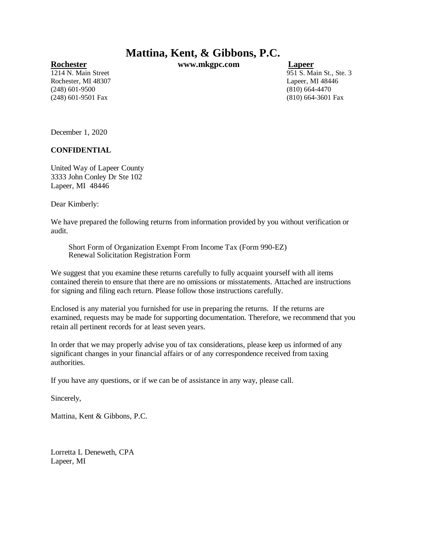# **Mattina, Kent, & Gibbons, P.C.**

Rochester, MI 48307 Lapeer, MI 4844<br>
(248) 601-9500 (810) 664-4470 (248) 601-9500 (248) 601-9501 Fax (248) 601-9501 Fax (248) 601-9501 Fax (248) 601-9501 Fax (248) 601-9501 Fax (248) 601-9501 Fax (248) 601-9501 Fax (248) 601-9501 Fax (248) 601-9501 Fax (248) 601-9501 Fax (258) 601-9501 Fa  $(248)$  601-9501 Fax

**Rochester [www.mkgpc.com](http://www.mkgpc.com) Lapeer**

1214 N. Main Street 951 S. Main St., Ste. 3<br>
Rochester, MI 48307<br>
Lapeer, MI 48446

December 1, 2020

#### **CONFIDENTIAL**

United Way of Lapeer County 3333 John Conley Dr Ste 102 Lapeer, MI 48446

Dear Kimberly:

We have prepared the following returns from information provided by you without verification or audit.

Short Form of Organization Exempt From Income Tax (Form 990-EZ) Renewal Solicitation Registration Form

We suggest that you examine these returns carefully to fully acquaint yourself with all items contained therein to ensure that there are no omissions or misstatements. Attached are instructions for signing and filing each return. Please follow those instructions carefully.

Enclosed is any material you furnished for use in preparing the returns. If the returns are examined, requests may be made for supporting documentation. Therefore, we recommend that you retain all pertinent records for at least seven years.

In order that we may properly advise you of tax considerations, please keep us informed of any significant changes in your financial affairs or of any correspondence received from taxing authorities.

If you have any questions, or if we can be of assistance in any way, please call.

Sincerely,

Mattina, Kent & Gibbons, P.C.

Lorretta L Deneweth, CPA Lapeer, MI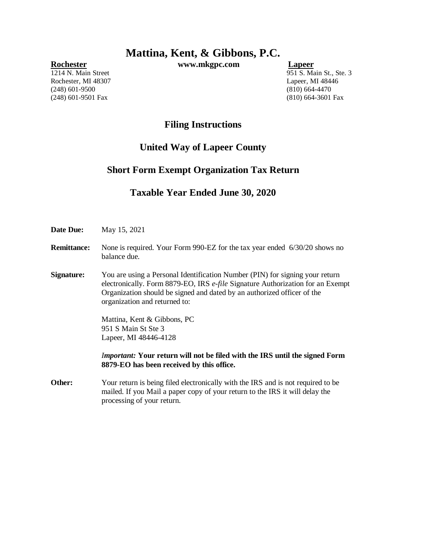## **Mattina, Kent, & Gibbons, P.C.**

Rochester, MI 48307 Lapeer, MI 48446 (248) 601-9500<br>
(248) 601-9501 Fax (248) 601-9501 Fax (810) 664-3601 Fax  $(248)$  601-9501 Fax

**Rochester [www.mkgpc.com](http://www.mkgpc.com) Lapeer**

1214 N. Main Street 951 S. Main St., Ste. 3

### **Filing Instructions**

### **United Way of Lapeer County**

#### **Short Form Exempt Organization Tax Return**

#### **Taxable Year Ended June 30, 2020**

- **Date Due:** May 15, 2021
- **Remittance:** None is required. Your Form 990-EZ for the tax year ended 6/30/20 shows no balance due.
- **Signature:** You are using a Personal Identification Number (PIN) for signing your return electronically. Form 8879-EO, IRS *e-file* Signature Authorization for an Exempt Organization should be signed and dated by an authorized officer of the organization and returned to:

Mattina, Kent & Gibbons, PC 951 S Main St Ste 3 Lapeer, MI 48446-4128

*Important:* **Your return will not be filed with the IRS until the signed Form 8879-EO has been received by this office.**

**Other:** Your return is being filed electronically with the IRS and is not required to be mailed. If you Mail a paper copy of your return to the IRS it will delay the processing of your return.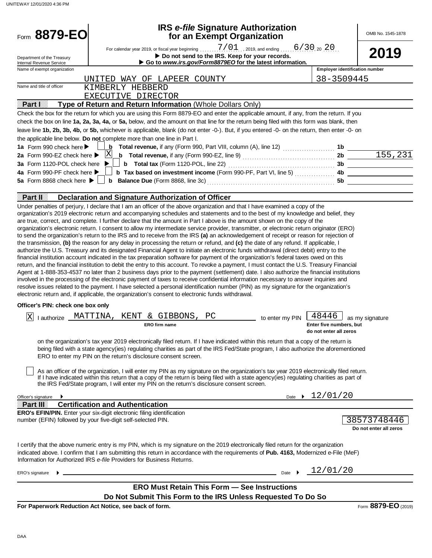| Form 8879-EO                                           | <b>IRS e-file Signature Authorization</b><br>for an Exempt Organization                                                                                                                                                                                                                                                                                                                                                                                                                                                                                                                                                                                                                                                                                                                                                                                                                                                                                                                                                                                                                                                                                                                                                                                                                                                                                                                                                                                                                                                                                                                                                                                                                                                                                                                                                                                                                                                                                                                                                                                                                                                                                                                                                                                                                                                                    |                                                            | OMB No. 1545-1878                     |
|--------------------------------------------------------|--------------------------------------------------------------------------------------------------------------------------------------------------------------------------------------------------------------------------------------------------------------------------------------------------------------------------------------------------------------------------------------------------------------------------------------------------------------------------------------------------------------------------------------------------------------------------------------------------------------------------------------------------------------------------------------------------------------------------------------------------------------------------------------------------------------------------------------------------------------------------------------------------------------------------------------------------------------------------------------------------------------------------------------------------------------------------------------------------------------------------------------------------------------------------------------------------------------------------------------------------------------------------------------------------------------------------------------------------------------------------------------------------------------------------------------------------------------------------------------------------------------------------------------------------------------------------------------------------------------------------------------------------------------------------------------------------------------------------------------------------------------------------------------------------------------------------------------------------------------------------------------------------------------------------------------------------------------------------------------------------------------------------------------------------------------------------------------------------------------------------------------------------------------------------------------------------------------------------------------------------------------------------------------------------------------------------------------------|------------------------------------------------------------|---------------------------------------|
| Department of the Treasury<br>Internal Revenue Service | Do not send to the IRS. Keep for your records.<br>Go to www.irs.gov/Form8879EO for the latest information.                                                                                                                                                                                                                                                                                                                                                                                                                                                                                                                                                                                                                                                                                                                                                                                                                                                                                                                                                                                                                                                                                                                                                                                                                                                                                                                                                                                                                                                                                                                                                                                                                                                                                                                                                                                                                                                                                                                                                                                                                                                                                                                                                                                                                                 |                                                            | 2019                                  |
| Name of exempt organization                            |                                                                                                                                                                                                                                                                                                                                                                                                                                                                                                                                                                                                                                                                                                                                                                                                                                                                                                                                                                                                                                                                                                                                                                                                                                                                                                                                                                                                                                                                                                                                                                                                                                                                                                                                                                                                                                                                                                                                                                                                                                                                                                                                                                                                                                                                                                                                            | <b>Employer identification number</b>                      |                                       |
|                                                        | UNITED WAY OF LAPEER COUNTY                                                                                                                                                                                                                                                                                                                                                                                                                                                                                                                                                                                                                                                                                                                                                                                                                                                                                                                                                                                                                                                                                                                                                                                                                                                                                                                                                                                                                                                                                                                                                                                                                                                                                                                                                                                                                                                                                                                                                                                                                                                                                                                                                                                                                                                                                                                | 38-3509445                                                 |                                       |
| Name and title of officer                              | KIMBERLY HEBBERD                                                                                                                                                                                                                                                                                                                                                                                                                                                                                                                                                                                                                                                                                                                                                                                                                                                                                                                                                                                                                                                                                                                                                                                                                                                                                                                                                                                                                                                                                                                                                                                                                                                                                                                                                                                                                                                                                                                                                                                                                                                                                                                                                                                                                                                                                                                           |                                                            |                                       |
|                                                        | EXECUTIVE DIRECTOR                                                                                                                                                                                                                                                                                                                                                                                                                                                                                                                                                                                                                                                                                                                                                                                                                                                                                                                                                                                                                                                                                                                                                                                                                                                                                                                                                                                                                                                                                                                                                                                                                                                                                                                                                                                                                                                                                                                                                                                                                                                                                                                                                                                                                                                                                                                         |                                                            |                                       |
| Part I                                                 | Type of Return and Return Information (Whole Dollars Only)                                                                                                                                                                                                                                                                                                                                                                                                                                                                                                                                                                                                                                                                                                                                                                                                                                                                                                                                                                                                                                                                                                                                                                                                                                                                                                                                                                                                                                                                                                                                                                                                                                                                                                                                                                                                                                                                                                                                                                                                                                                                                                                                                                                                                                                                                 |                                                            |                                       |
|                                                        | Check the box for the return for which you are using this Form 8879-EO and enter the applicable amount, if any, from the return. If you                                                                                                                                                                                                                                                                                                                                                                                                                                                                                                                                                                                                                                                                                                                                                                                                                                                                                                                                                                                                                                                                                                                                                                                                                                                                                                                                                                                                                                                                                                                                                                                                                                                                                                                                                                                                                                                                                                                                                                                                                                                                                                                                                                                                    |                                                            |                                       |
|                                                        | check the box on line 1a, 2a, 3a, 4a, or 5a, below, and the amount on that line for the return being filed with this form was blank, then                                                                                                                                                                                                                                                                                                                                                                                                                                                                                                                                                                                                                                                                                                                                                                                                                                                                                                                                                                                                                                                                                                                                                                                                                                                                                                                                                                                                                                                                                                                                                                                                                                                                                                                                                                                                                                                                                                                                                                                                                                                                                                                                                                                                  |                                                            |                                       |
|                                                        | leave line 1b, 2b, 3b, 4b, or 5b, whichever is applicable, blank (do not enter -0-). But, if you entered -0- on the return, then enter -0- on                                                                                                                                                                                                                                                                                                                                                                                                                                                                                                                                                                                                                                                                                                                                                                                                                                                                                                                                                                                                                                                                                                                                                                                                                                                                                                                                                                                                                                                                                                                                                                                                                                                                                                                                                                                                                                                                                                                                                                                                                                                                                                                                                                                              |                                                            |                                       |
|                                                        | the applicable line below. Do not complete more than one line in Part I.                                                                                                                                                                                                                                                                                                                                                                                                                                                                                                                                                                                                                                                                                                                                                                                                                                                                                                                                                                                                                                                                                                                                                                                                                                                                                                                                                                                                                                                                                                                                                                                                                                                                                                                                                                                                                                                                                                                                                                                                                                                                                                                                                                                                                                                                   |                                                            |                                       |
| 1a Form 990 check here ▶                               | <b>b</b> Total revenue, if any (Form 990, Part VIII, column (A), line 12) $\ldots$ $\ldots$                                                                                                                                                                                                                                                                                                                                                                                                                                                                                                                                                                                                                                                                                                                                                                                                                                                                                                                                                                                                                                                                                                                                                                                                                                                                                                                                                                                                                                                                                                                                                                                                                                                                                                                                                                                                                                                                                                                                                                                                                                                                                                                                                                                                                                                |                                                            |                                       |
| 2a Form 990-EZ check here ▶                            | X                                                                                                                                                                                                                                                                                                                                                                                                                                                                                                                                                                                                                                                                                                                                                                                                                                                                                                                                                                                                                                                                                                                                                                                                                                                                                                                                                                                                                                                                                                                                                                                                                                                                                                                                                                                                                                                                                                                                                                                                                                                                                                                                                                                                                                                                                                                                          |                                                            | $2b$ $155,231$                        |
| 3a Form 1120-POL check here ▶                          |                                                                                                                                                                                                                                                                                                                                                                                                                                                                                                                                                                                                                                                                                                                                                                                                                                                                                                                                                                                                                                                                                                                                                                                                                                                                                                                                                                                                                                                                                                                                                                                                                                                                                                                                                                                                                                                                                                                                                                                                                                                                                                                                                                                                                                                                                                                                            |                                                            |                                       |
| 4a Form 990-PF check here ▶                            | b Tax based on investment income (Form 990-PF, Part VI, line 5)  4b                                                                                                                                                                                                                                                                                                                                                                                                                                                                                                                                                                                                                                                                                                                                                                                                                                                                                                                                                                                                                                                                                                                                                                                                                                                                                                                                                                                                                                                                                                                                                                                                                                                                                                                                                                                                                                                                                                                                                                                                                                                                                                                                                                                                                                                                        |                                                            |                                       |
| 5a Form 8868 check here ▶                              |                                                                                                                                                                                                                                                                                                                                                                                                                                                                                                                                                                                                                                                                                                                                                                                                                                                                                                                                                                                                                                                                                                                                                                                                                                                                                                                                                                                                                                                                                                                                                                                                                                                                                                                                                                                                                                                                                                                                                                                                                                                                                                                                                                                                                                                                                                                                            | 5b                                                         |                                       |
| Part II                                                | Declaration and Signature Authorization of Officer                                                                                                                                                                                                                                                                                                                                                                                                                                                                                                                                                                                                                                                                                                                                                                                                                                                                                                                                                                                                                                                                                                                                                                                                                                                                                                                                                                                                                                                                                                                                                                                                                                                                                                                                                                                                                                                                                                                                                                                                                                                                                                                                                                                                                                                                                         |                                                            |                                       |
|                                                        | Under penalties of perjury, I declare that I am an officer of the above organization and that I have examined a copy of the                                                                                                                                                                                                                                                                                                                                                                                                                                                                                                                                                                                                                                                                                                                                                                                                                                                                                                                                                                                                                                                                                                                                                                                                                                                                                                                                                                                                                                                                                                                                                                                                                                                                                                                                                                                                                                                                                                                                                                                                                                                                                                                                                                                                                |                                                            |                                       |
| Officer's PIN: check one box only<br>ΙXΙ               | are true, correct, and complete. I further declare that the amount in Part I above is the amount shown on the copy of the<br>organization's electronic return. I consent to allow my intermediate service provider, transmitter, or electronic return originator (ERO)<br>to send the organization's return to the IRS and to receive from the IRS (a) an acknowledgement of receipt or reason for rejection of<br>the transmission, (b) the reason for any delay in processing the return or refund, and (c) the date of any refund. If applicable, I<br>authorize the U.S. Treasury and its designated Financial Agent to initiate an electronic funds withdrawal (direct debit) entry to the<br>financial institution account indicated in the tax preparation software for payment of the organization's federal taxes owed on this<br>return, and the financial institution to debit the entry to this account. To revoke a payment, I must contact the U.S. Treasury Financial<br>Agent at 1-888-353-4537 no later than 2 business days prior to the payment (settlement) date. I also authorize the financial institutions<br>involved in the processing of the electronic payment of taxes to receive confidential information necessary to answer inquiries and<br>resolve issues related to the payment. I have selected a personal identification number (PIN) as my signature for the organization's<br>electronic return and, if applicable, the organization's consent to electronic funds withdrawal.<br>lauthorize MATTINA, KENT & GIBBONS,<br>РC<br>to enter my PIN<br>ERO firm name<br>on the organization's tax year 2019 electronically filed return. If I have indicated within this return that a copy of the return is<br>being filed with a state agency(ies) regulating charities as part of the IRS Fed/State program, I also authorize the aforementioned<br>ERO to enter my PIN on the return's disclosure consent screen.<br>As an officer of the organization, I will enter my PIN as my signature on the organization's tax year 2019 electronically filed return.<br>If I have indicated within this return that a copy of the return is being filed with a state agency(ies) regulating charities as part of<br>the IRS Fed/State program, I will enter my PIN on the return's disclosure consent screen. | 48446<br>Enter five numbers, but<br>do not enter all zeros | as my signature                       |
| Officer's signature                                    |                                                                                                                                                                                                                                                                                                                                                                                                                                                                                                                                                                                                                                                                                                                                                                                                                                                                                                                                                                                                                                                                                                                                                                                                                                                                                                                                                                                                                                                                                                                                                                                                                                                                                                                                                                                                                                                                                                                                                                                                                                                                                                                                                                                                                                                                                                                                            | Date $\rightarrow$ 12/01/20                                |                                       |
| Part III                                               | <b>Certification and Authentication</b>                                                                                                                                                                                                                                                                                                                                                                                                                                                                                                                                                                                                                                                                                                                                                                                                                                                                                                                                                                                                                                                                                                                                                                                                                                                                                                                                                                                                                                                                                                                                                                                                                                                                                                                                                                                                                                                                                                                                                                                                                                                                                                                                                                                                                                                                                                    |                                                            |                                       |
|                                                        | <b>ERO's EFIN/PIN.</b> Enter your six-digit electronic filing identification<br>number (EFIN) followed by your five-digit self-selected PIN.                                                                                                                                                                                                                                                                                                                                                                                                                                                                                                                                                                                                                                                                                                                                                                                                                                                                                                                                                                                                                                                                                                                                                                                                                                                                                                                                                                                                                                                                                                                                                                                                                                                                                                                                                                                                                                                                                                                                                                                                                                                                                                                                                                                               |                                                            | 38573748446<br>Do not enter all zeros |
|                                                        | I certify that the above numeric entry is my PIN, which is my signature on the 2019 electronically filed return for the organization<br>indicated above. I confirm that I am submitting this return in accordance with the requirements of Pub. 4163, Modernized e-File (MeF)<br>Information for Authorized IRS e-file Providers for Business Returns.                                                                                                                                                                                                                                                                                                                                                                                                                                                                                                                                                                                                                                                                                                                                                                                                                                                                                                                                                                                                                                                                                                                                                                                                                                                                                                                                                                                                                                                                                                                                                                                                                                                                                                                                                                                                                                                                                                                                                                                     |                                                            |                                       |
| ERO's signature                                        |                                                                                                                                                                                                                                                                                                                                                                                                                                                                                                                                                                                                                                                                                                                                                                                                                                                                                                                                                                                                                                                                                                                                                                                                                                                                                                                                                                                                                                                                                                                                                                                                                                                                                                                                                                                                                                                                                                                                                                                                                                                                                                                                                                                                                                                                                                                                            | Date $\rightarrow$ 12/01/20                                |                                       |
|                                                        |                                                                                                                                                                                                                                                                                                                                                                                                                                                                                                                                                                                                                                                                                                                                                                                                                                                                                                                                                                                                                                                                                                                                                                                                                                                                                                                                                                                                                                                                                                                                                                                                                                                                                                                                                                                                                                                                                                                                                                                                                                                                                                                                                                                                                                                                                                                                            |                                                            |                                       |
|                                                        | <b>ERO Must Retain This Form - See Instructions</b><br>Do Not Submit This Form to the IRS Unless Requested To Do So                                                                                                                                                                                                                                                                                                                                                                                                                                                                                                                                                                                                                                                                                                                                                                                                                                                                                                                                                                                                                                                                                                                                                                                                                                                                                                                                                                                                                                                                                                                                                                                                                                                                                                                                                                                                                                                                                                                                                                                                                                                                                                                                                                                                                        |                                                            |                                       |

**For Paperwork Reduction Act Notice, see back of form.**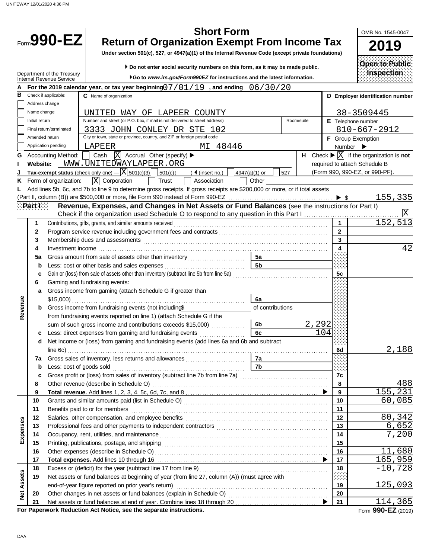|            |                                                                                                          | Form990-EZ               | <b>Short Form</b><br><b>Return of Organization Exempt From Income Tax</b>                                                                                                                                                     |                  |            |                | OMB No. 1545-0047<br>2019                                                  |  |  |
|------------|----------------------------------------------------------------------------------------------------------|--------------------------|-------------------------------------------------------------------------------------------------------------------------------------------------------------------------------------------------------------------------------|------------------|------------|----------------|----------------------------------------------------------------------------|--|--|
|            |                                                                                                          |                          | Under section 501(c), 527, or 4947(a)(1) of the Internal Revenue Code (except private foundations)                                                                                                                            |                  |            |                |                                                                            |  |  |
|            |                                                                                                          |                          | Do not enter social security numbers on this form, as it may be made public.                                                                                                                                                  |                  |            |                | <b>Open to Public</b>                                                      |  |  |
|            | Department of the Treasury<br>▶ Go to www.irs.gov/Form990EZ for instructions and the latest information. |                          |                                                                                                                                                                                                                               |                  |            |                |                                                                            |  |  |
|            |                                                                                                          | Internal Revenue Service |                                                                                                                                                                                                                               |                  |            |                |                                                                            |  |  |
| в          |                                                                                                          | Check if applicable:     | For the 2019 calendar year, or tax year beginning $07/01/19$ , and ending                                                                                                                                                     | 06/30/20         |            |                |                                                                            |  |  |
|            | Address change                                                                                           |                          | C Name of organization                                                                                                                                                                                                        |                  |            |                | D Employer identification number                                           |  |  |
|            | Name change                                                                                              |                          |                                                                                                                                                                                                                               |                  |            |                | 38-3509445                                                                 |  |  |
|            | Initial return                                                                                           |                          | UNITED WAY OF LAPEER COUNTY<br>Number and street (or P.O. box, if mail is not delivered to street address)                                                                                                                    |                  | Room/suite |                | E Telephone number                                                         |  |  |
|            |                                                                                                          | Final return/terminated  | 3333 JOHN CONLEY DR STE 102                                                                                                                                                                                                   |                  |            |                | $810 - 667 - 2912$                                                         |  |  |
|            | Amended return                                                                                           |                          | City or town, state or province, country, and ZIP or foreign postal code                                                                                                                                                      |                  |            |                | F Group Exemption                                                          |  |  |
|            |                                                                                                          | Application pending      | LAPEER<br>MI 48446                                                                                                                                                                                                            |                  |            |                | Number $\blacktriangleright$                                               |  |  |
| G          |                                                                                                          | Accounting Method:       | $ \overline{X} $ Accrual Other (specify) $\blacktriangleright$<br>Cash                                                                                                                                                        |                  | H.         |                | Check $\blacktriangleright \overline{X}$ if the organization is <b>not</b> |  |  |
|            | Website:                                                                                                 |                          | WWW.UNITEDWAYLAPEER.ORG                                                                                                                                                                                                       |                  |            |                | required to attach Schedule B                                              |  |  |
|            |                                                                                                          |                          | Tax-exempt status (check only one) $- X $ 501(c)(3)<br>501(c)<br>$\rightarrow$ (insert no.)<br>$4947(a)(1)$ or                                                                                                                |                  | 527        |                | (Form 990, 990-EZ, or 990-PF).                                             |  |  |
| ĸ          |                                                                                                          | Form of organization:    | $ X $ Corporation<br>Trust<br>Association                                                                                                                                                                                     | Other            |            |                |                                                                            |  |  |
|            |                                                                                                          |                          | Add lines 5b, 6c, and 7b to line 9 to determine gross receipts. If gross receipts are \$200,000 or more, or if total assets                                                                                                   |                  |            |                |                                                                            |  |  |
|            |                                                                                                          |                          |                                                                                                                                                                                                                               |                  |            |                | 155,335                                                                    |  |  |
|            | Part I                                                                                                   |                          | Revenue, Expenses, and Changes in Net Assets or Fund Balances (see the instructions for Part I)                                                                                                                               |                  |            |                |                                                                            |  |  |
|            |                                                                                                          |                          | Check if the organization used Schedule O to respond to any question in this Part I                                                                                                                                           |                  |            |                | X                                                                          |  |  |
|            | 1                                                                                                        |                          | Contributions, gifts, grants, and similar amounts received                                                                                                                                                                    |                  |            | 1              | 152,513                                                                    |  |  |
|            | 2                                                                                                        |                          |                                                                                                                                                                                                                               |                  |            | $\overline{2}$ |                                                                            |  |  |
|            | 3                                                                                                        |                          | Membership dues and assessments [[11] Membership dues and assessments [[11] Membership dues and assessments [[11] Membership dues and assessments [[11] Membership dues and assessments [[11] Membership dues and assessments |                  |            | 3              |                                                                            |  |  |
|            | 4                                                                                                        |                          |                                                                                                                                                                                                                               |                  |            | 4              | 42                                                                         |  |  |
|            | 5a                                                                                                       |                          | Gross amount from sale of assets other than inventory                                                                                                                                                                         | 5a               |            |                |                                                                            |  |  |
|            | $\mathbf b$                                                                                              |                          | Less: cost or other basis and sales expenses                                                                                                                                                                                  | 5b               |            |                |                                                                            |  |  |
|            | c                                                                                                        |                          | Gain or (loss) from sale of assets other than inventory (subtract line 5b from line 5a)                                                                                                                                       |                  |            | 5c             |                                                                            |  |  |
|            | 6                                                                                                        |                          | Gaming and fundraising events:                                                                                                                                                                                                |                  |            |                |                                                                            |  |  |
|            | a                                                                                                        |                          | Gross income from gaming (attach Schedule G if greater than                                                                                                                                                                   |                  |            |                |                                                                            |  |  |
|            |                                                                                                          | $$15,000$ )              |                                                                                                                                                                                                                               | 6a               |            |                |                                                                            |  |  |
| Revenue    | b                                                                                                        |                          | Gross income from fundraising events (not includings)                                                                                                                                                                         | of contributions |            |                |                                                                            |  |  |
|            |                                                                                                          |                          | from fundraising events reported on line 1) (attach Schedule G if the                                                                                                                                                         |                  |            |                |                                                                            |  |  |
|            |                                                                                                          |                          | sum of such gross income and contributions exceeds \$15,000)                                                                                                                                                                  | 6b               |            | 2,292          |                                                                            |  |  |
|            |                                                                                                          |                          | c Less: direct expenses from gaming and fundraising events                                                                                                                                                                    |                  |            | 1 N 4          |                                                                            |  |  |
|            | d                                                                                                        |                          | Net income or (loss) from gaming and fundraising events (add lines 6a and 6b and subtract                                                                                                                                     |                  |            |                |                                                                            |  |  |
|            |                                                                                                          |                          |                                                                                                                                                                                                                               |                  |            | 6d             | 2,188                                                                      |  |  |
|            | 7a                                                                                                       |                          |                                                                                                                                                                                                                               | 7a               |            |                |                                                                            |  |  |
|            | $\mathbf b$                                                                                              | Less: cost of goods sold | $\frac{1}{10}$                                                                                                                                                                                                                |                  |            |                |                                                                            |  |  |
|            | c                                                                                                        |                          |                                                                                                                                                                                                                               |                  |            | 7c             |                                                                            |  |  |
|            | 8                                                                                                        |                          | Other revenue (describe in Schedule O)                                                                                                                                                                                        |                  |            | 8              | 488                                                                        |  |  |
|            | 9                                                                                                        |                          |                                                                                                                                                                                                                               |                  |            | 9              | 155,231                                                                    |  |  |
|            | 10<br>11                                                                                                 |                          | Benefits paid to or for members                                                                                                                                                                                               |                  |            | 10<br>11       | 60,085                                                                     |  |  |
|            | 12                                                                                                       |                          |                                                                                                                                                                                                                               |                  |            | 12             | 80,342                                                                     |  |  |
|            | 13                                                                                                       |                          |                                                                                                                                                                                                                               |                  |            | 13             | 6,652                                                                      |  |  |
| Expenses   | 14                                                                                                       |                          |                                                                                                                                                                                                                               |                  |            | 14             | 7,200                                                                      |  |  |
|            | 15                                                                                                       |                          |                                                                                                                                                                                                                               |                  |            | 15             |                                                                            |  |  |
|            | 16                                                                                                       |                          |                                                                                                                                                                                                                               |                  |            | 16             | 11,680                                                                     |  |  |
|            | 17                                                                                                       |                          |                                                                                                                                                                                                                               |                  |            | 17             | 165,959                                                                    |  |  |
|            | 18                                                                                                       |                          |                                                                                                                                                                                                                               |                  |            | 18             | $-10,728$                                                                  |  |  |
|            | 19                                                                                                       |                          | Net assets or fund balances at beginning of year (from line 27, column (A)) (must agree with                                                                                                                                  |                  |            |                |                                                                            |  |  |
| Assets     |                                                                                                          |                          | end-of-year figure reported on prior year's return)                                                                                                                                                                           |                  |            | 19             | 125,093                                                                    |  |  |
| <b>Net</b> | 20                                                                                                       |                          |                                                                                                                                                                                                                               |                  |            | 20             |                                                                            |  |  |
|            | 21                                                                                                       |                          |                                                                                                                                                                                                                               |                  |            | 21             | 114,365                                                                    |  |  |
|            |                                                                                                          |                          | For Paperwork Reduction Act Notice, see the separate instructions.                                                                                                                                                            |                  |            |                | Form 990-EZ (2019)                                                         |  |  |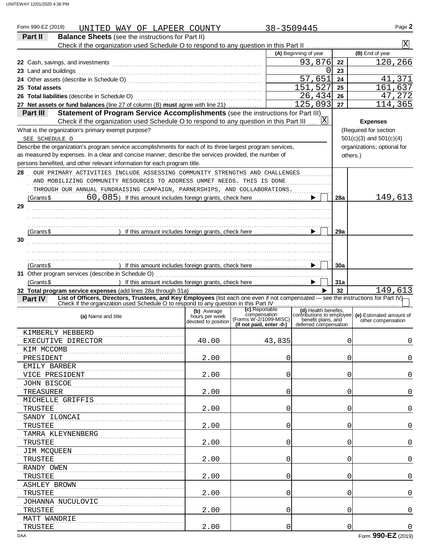| Form 990-EZ (2019)<br>UNITED WAY OF LAPEER COUNTY                                                                                                                                                                                       |                     |                                       | 38-3509445            |             | Page 2                                                                                                           |
|-----------------------------------------------------------------------------------------------------------------------------------------------------------------------------------------------------------------------------------------|---------------------|---------------------------------------|-----------------------|-------------|------------------------------------------------------------------------------------------------------------------|
| Part II<br><b>Balance Sheets</b> (see the instructions for Part II)                                                                                                                                                                     |                     |                                       |                       |             |                                                                                                                  |
| Check if the organization used Schedule O to respond to any question in this Part II                                                                                                                                                    |                     |                                       |                       |             | $ {\rm X} $                                                                                                      |
|                                                                                                                                                                                                                                         |                     |                                       | (A) Beginning of year |             | (B) End of year                                                                                                  |
|                                                                                                                                                                                                                                         |                     |                                       | 93,876                | 22          | 120,266                                                                                                          |
| 23 Land and buildings                                                                                                                                                                                                                   |                     |                                       | 0                     | 23          |                                                                                                                  |
|                                                                                                                                                                                                                                         |                     |                                       | 57,651                | 24          | 41,371                                                                                                           |
| 25 Total assets                                                                                                                                                                                                                         |                     |                                       | 151,527               | 25          | 161,637                                                                                                          |
|                                                                                                                                                                                                                                         |                     |                                       | 26,434                | 26          | 47,272                                                                                                           |
| 27 Net assets or fund balances (line 27 of column (B) must agree with line 21)                                                                                                                                                          |                     |                                       | 125,093               | 27          | 114,365                                                                                                          |
| Statement of Program Service Accomplishments (see the instructions for Part III)<br>Part III                                                                                                                                            |                     |                                       |                       |             |                                                                                                                  |
| Check if the organization used Schedule O to respond to any question in this Part III                                                                                                                                                   |                     |                                       | $ \mathrm{X} $        |             | <b>Expenses</b>                                                                                                  |
| What is the organization's primary exempt purpose?                                                                                                                                                                                      |                     |                                       |                       |             | (Required for section                                                                                            |
| SEE SCHEDULE O                                                                                                                                                                                                                          |                     |                                       |                       |             | $501(c)(3)$ and $501(c)(4)$                                                                                      |
| Describe the organization's program service accomplishments for each of its three largest program services,                                                                                                                             |                     |                                       |                       |             | organizations; optional for                                                                                      |
| as measured by expenses. In a clear and concise manner, describe the services provided, the number of                                                                                                                                   |                     |                                       |                       |             | others.)                                                                                                         |
| persons benefited, and other relevant information for each program title.                                                                                                                                                               |                     |                                       |                       |             |                                                                                                                  |
| OUR PRIMARY ACTIVITIES INCLUDE ASSESSING COMMUNITY STRENGTHS AND CHALLENGES<br>28                                                                                                                                                       |                     |                                       |                       |             |                                                                                                                  |
| AND MOBILIZING COMMUNITY RESOURCES TO ADDRESS UNMET NEEDS. THIS IS DONE                                                                                                                                                                 |                     |                                       |                       |             |                                                                                                                  |
| THROUGH OUR ANNUAL FUNDRAISING CAMPAIGN, PARNERSHIPS, AND COLLABORATIONS.                                                                                                                                                               |                     |                                       |                       |             |                                                                                                                  |
| 60, 085) If this amount includes foreign grants, check here<br>(Grants\$                                                                                                                                                                |                     |                                       |                       | <b>28a</b>  | 149,613                                                                                                          |
| 29                                                                                                                                                                                                                                      |                     |                                       |                       |             |                                                                                                                  |
|                                                                                                                                                                                                                                         |                     |                                       |                       |             |                                                                                                                  |
|                                                                                                                                                                                                                                         |                     |                                       |                       |             |                                                                                                                  |
| ) If this amount includes foreign grants, check here<br>(Grants\$                                                                                                                                                                       |                     |                                       |                       | <b>29a</b>  |                                                                                                                  |
| 30                                                                                                                                                                                                                                      |                     |                                       |                       |             |                                                                                                                  |
|                                                                                                                                                                                                                                         |                     |                                       |                       |             |                                                                                                                  |
|                                                                                                                                                                                                                                         |                     |                                       |                       |             |                                                                                                                  |
| ) If this amount includes foreign grants, check here<br>(Grants\$                                                                                                                                                                       |                     |                                       |                       | 30a         |                                                                                                                  |
| 31 Other program services (describe in Schedule O)                                                                                                                                                                                      |                     |                                       |                       |             |                                                                                                                  |
| (Grants \$                                                                                                                                                                                                                              |                     |                                       | ▶                     | 31a         |                                                                                                                  |
| 32 Total program service expenses (add lines 28a through 31a)                                                                                                                                                                           |                     |                                       |                       | 32          | 149,613                                                                                                          |
| List of Officers, Directors, Trustees, and Key Employees (list each one even if not compensated — see the instructions for Part IV)-<br>Check if the organization used Schedule O to respond to any question in this Part IV<br>Part IV |                     |                                       |                       |             |                                                                                                                  |
|                                                                                                                                                                                                                                         | (b) Average         | (c) Reportable                        | (d) Health benefits,  |             |                                                                                                                  |
| (a) Name and title                                                                                                                                                                                                                      | hours per week      | compensation<br>(Forms W-2/1099-MISC) |                       |             | contributions to employee (e) Estimated amount of<br>benefit plans, and other compensation<br>other compensation |
|                                                                                                                                                                                                                                         | devoted to position | (if not paid, enter -0-)              | deferred compensation |             |                                                                                                                  |
| KIMBERLY HEBBERD                                                                                                                                                                                                                        |                     |                                       |                       |             |                                                                                                                  |
| EXECUTIVE DIRECTOR                                                                                                                                                                                                                      | 40.00               | 43,835                                |                       | 0           | 0                                                                                                                |
| KIM MCCOMB                                                                                                                                                                                                                              |                     |                                       |                       |             |                                                                                                                  |
| PRESIDENT                                                                                                                                                                                                                               | 2.00                | 0                                     |                       | $\mathbf 0$ | 0                                                                                                                |
| EMILY BARBER                                                                                                                                                                                                                            |                     |                                       |                       |             |                                                                                                                  |
| VICE PRESIDENT                                                                                                                                                                                                                          | 2.00                | 0                                     |                       | $\mathbf 0$ | 0                                                                                                                |
| <b>JOHN BISCOE</b>                                                                                                                                                                                                                      |                     |                                       |                       |             |                                                                                                                  |
| TREASURER                                                                                                                                                                                                                               | 2.00                | 0                                     |                       | $\mathbf 0$ | 0                                                                                                                |
| MICHELLE GRIFFIS                                                                                                                                                                                                                        |                     |                                       |                       |             |                                                                                                                  |
| TRUSTEE                                                                                                                                                                                                                                 | 2.00                | 0                                     |                       | $\mathbf 0$ | 0                                                                                                                |
| SANDY ILONCAI                                                                                                                                                                                                                           |                     |                                       |                       |             |                                                                                                                  |
| TRUSTEE                                                                                                                                                                                                                                 | 2.00                | 0                                     |                       | $\mathbf 0$ | 0                                                                                                                |
| TAMRA KLEYNENBERG                                                                                                                                                                                                                       |                     |                                       |                       |             |                                                                                                                  |
| TRUSTEE                                                                                                                                                                                                                                 | 2.00                | 0                                     |                       | $\mathbf 0$ | 0                                                                                                                |
| JIM MCQUEEN                                                                                                                                                                                                                             |                     |                                       |                       |             |                                                                                                                  |
| TRUSTEE                                                                                                                                                                                                                                 | 2.00                | 0                                     |                       | $\mathbf 0$ | 0                                                                                                                |
| RANDY OWEN                                                                                                                                                                                                                              |                     |                                       |                       |             |                                                                                                                  |
| TRUSTEE                                                                                                                                                                                                                                 | 2.00                | 0                                     |                       | $\mathbf 0$ | 0                                                                                                                |
|                                                                                                                                                                                                                                         |                     |                                       |                       |             |                                                                                                                  |
| ASHLEY BROWN                                                                                                                                                                                                                            |                     |                                       |                       |             |                                                                                                                  |
| TRUSTEE                                                                                                                                                                                                                                 | 2.00                | 0                                     |                       | $\mathbf 0$ | 0                                                                                                                |
| JOHANNA NUCULOVIC                                                                                                                                                                                                                       |                     |                                       |                       |             |                                                                                                                  |
|                                                                                                                                                                                                                                         |                     | 0                                     |                       | $\mathbf 0$ |                                                                                                                  |
| TRUSTEE<br>MATT WANDRIE                                                                                                                                                                                                                 | 2.00                |                                       |                       |             | 0                                                                                                                |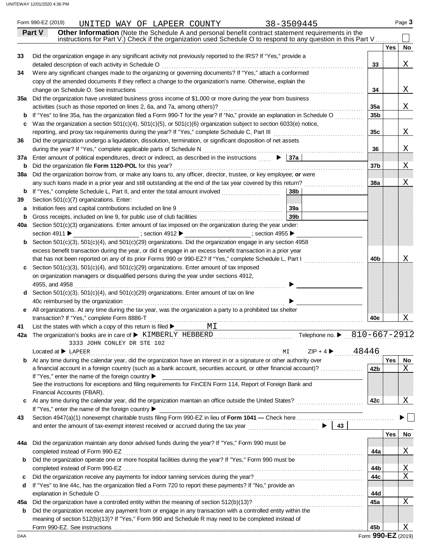|     | Form 990-EZ (2019)<br>38-3509445<br>UNITED WAY OF LAPEER COUNTY                                                                                                                                                                |                    |            | Page 3      |
|-----|--------------------------------------------------------------------------------------------------------------------------------------------------------------------------------------------------------------------------------|--------------------|------------|-------------|
|     | Part V<br>Other Information (Note the Schedule A and personal benefit contract statement requirements in the<br>instructions for Part V.) Check if the organization used Schedule O to respond to any question in this Part V. |                    |            |             |
|     |                                                                                                                                                                                                                                |                    | <b>Yes</b> | No          |
| 33  | Did the organization engage in any significant activity not previously reported to the IRS? If "Yes," provide a                                                                                                                |                    |            |             |
|     | detailed description of each activity in Schedule O                                                                                                                                                                            | 33                 |            | X           |
| 34  | Were any significant changes made to the organizing or governing documents? If "Yes," attach a conformed                                                                                                                       |                    |            |             |
|     | copy of the amended documents if they reflect a change to the organization's name. Otherwise, explain the                                                                                                                      |                    |            |             |
|     | change on Schedule O. See instructions                                                                                                                                                                                         | 34                 |            | X           |
| 35a | Did the organization have unrelated business gross income of \$1,000 or more during the year from business                                                                                                                     | 35a                |            | X           |
| b   | activities (such as those reported on lines 2, 6a, and 7a, among others)?<br>If "Yes" to line 35a, has the organization filed a Form 990-T for the year? If "No," provide an explanation in Schedule O                         | 35b                |            |             |
| c   | Was the organization a section $501(c)(4)$ , $501(c)(5)$ , or $501(c)(6)$ organization subject to section 6033(e) notice,                                                                                                      |                    |            |             |
|     | reporting, and proxy tax requirements during the year? If "Yes," complete Schedule C, Part III                                                                                                                                 | 35c                |            | X           |
| 36  | Did the organization undergo a liquidation, dissolution, termination, or significant disposition of net assets                                                                                                                 |                    |            |             |
|     | during the year? If "Yes," complete applicable parts of Schedule N                                                                                                                                                             | 36                 |            | Χ           |
| 37a | Enter amount of political expenditures, direct or indirect, as described in the instructions<br>37a                                                                                                                            |                    |            |             |
| b   | Did the organization file Form 1120-POL for this year?                                                                                                                                                                         | 37b                |            | Χ           |
| 38а | Did the organization borrow from, or make any loans to, any officer, director, trustee, or key employee; or were                                                                                                               |                    |            |             |
|     | any such loans made in a prior year and still outstanding at the end of the tax year covered by this return?                                                                                                                   | 38a                |            | Χ           |
| b   | If "Yes," complete Schedule L, Part II, and enter the total amount involved<br>38b                                                                                                                                             |                    |            |             |
| 39  | Section 501(c)(7) organizations. Enter:                                                                                                                                                                                        |                    |            |             |
| a   | Initiation fees and capital contributions included on line 9<br>39a                                                                                                                                                            |                    |            |             |
| b   | 39 <sub>b</sub><br>Gross receipts, included on line 9, for public use of club facilities                                                                                                                                       |                    |            |             |
| 40a | Section $501(c)(3)$ organizations. Enter amount of tax imposed on the organization during the year under:                                                                                                                      |                    |            |             |
|     | section 4911 ▶<br>; section 4955 $\blacktriangleright$<br>; section 4912 $\blacktriangleright$                                                                                                                                 |                    |            |             |
| b   | Section 501(c)(3), 501(c)(4), and 501(c)(29) organizations. Did the organization engage in any section 4958                                                                                                                    |                    |            |             |
|     | excess benefit transaction during the year, or did it engage in an excess benefit transaction in a prior year                                                                                                                  |                    |            |             |
|     | that has not been reported on any of its prior Forms 990 or 990-EZ? If "Yes," complete Schedule L, Part I                                                                                                                      | 40b                |            | Χ           |
| c   | Section $501(c)(3)$ , $501(c)(4)$ , and $501(c)(29)$ organizations. Enter amount of tax imposed                                                                                                                                |                    |            |             |
|     | on organization managers or disqualified persons during the year under sections 4912,                                                                                                                                          |                    |            |             |
|     | 4955, and 4958                                                                                                                                                                                                                 |                    |            |             |
| d   | Section 501(c)(3), 501(c)(4), and 501(c)(29) organizations. Enter amount of tax on line                                                                                                                                        |                    |            |             |
|     | 40c reimbursed by the organization                                                                                                                                                                                             |                    |            |             |
| е   | All organizations. At any time during the tax year, was the organization a party to a prohibited tax shelter                                                                                                                   |                    |            |             |
|     | transaction? If "Yes," complete Form 8886-T                                                                                                                                                                                    | 40e                |            | Χ           |
| 41  | List the states with which a copy of this return is filed $\blacktriangleright$<br>МI                                                                                                                                          |                    |            |             |
|     | The organization's books are in care of $\blacktriangleright$ KIMBERLY HEBBERD<br>Telephone no. ▶                                                                                                                              | $810 - 667 - 2912$ |            |             |
|     | 3333 JOHN CONLEY DR STE 102                                                                                                                                                                                                    |                    |            |             |
|     | $ZIP + 4$<br>Located at $\blacktriangleright$ LAPEER<br>M <sub>I</sub>                                                                                                                                                         | 48446              |            |             |
| b   | At any time during the calendar year, did the organization have an interest in or a signature or other authority over                                                                                                          |                    | <b>Yes</b> | No          |
|     | a financial account in a foreign country (such as a bank account, securities account, or other financial account)?                                                                                                             | 42 <sub>b</sub>    |            | X           |
|     | If "Yes," enter the name of the foreign country ▶                                                                                                                                                                              |                    |            |             |
|     | See the instructions for exceptions and filing requirements for FinCEN Form 114, Report of Foreign Bank and                                                                                                                    |                    |            |             |
|     | Financial Accounts (FBAR).                                                                                                                                                                                                     |                    |            |             |
| c   | At any time during the calendar year, did the organization maintain an office outside the United States?                                                                                                                       | 42c                |            | Χ           |
|     | If "Yes," enter the name of the foreign country ▶                                                                                                                                                                              |                    |            |             |
| 43  |                                                                                                                                                                                                                                |                    |            |             |
|     | $\blacktriangleright$<br>43                                                                                                                                                                                                    |                    |            |             |
|     |                                                                                                                                                                                                                                |                    | Yes        | No          |
| 44a | Did the organization maintain any donor advised funds during the year? If "Yes," Form 990 must be                                                                                                                              |                    |            |             |
|     | completed instead of Form 990-EZ                                                                                                                                                                                               | 44a                |            | Χ           |
| b   | Did the organization operate one or more hospital facilities during the year? If "Yes," Form 990 must be                                                                                                                       | 44b                |            | Χ           |
| с   |                                                                                                                                                                                                                                | 44c                |            | X           |
| d   | If "Yes" to line 44c, has the organization filed a Form 720 to report these payments? If "No," provide an                                                                                                                      |                    |            |             |
|     |                                                                                                                                                                                                                                | 44d                |            |             |
| 45а | Did the organization have a controlled entity within the meaning of section 512(b)(13)?                                                                                                                                        | 45a                |            | $\mathbf X$ |
| b   | Did the organization receive any payment from or engage in any transaction with a controlled entity within the                                                                                                                 |                    |            |             |
|     | meaning of section 512(b)(13)? If "Yes," Form 990 and Schedule R may need to be completed instead of                                                                                                                           |                    |            |             |
|     |                                                                                                                                                                                                                                | 45b                |            | Χ           |
|     |                                                                                                                                                                                                                                |                    |            |             |

Form **990-EZ** (2019)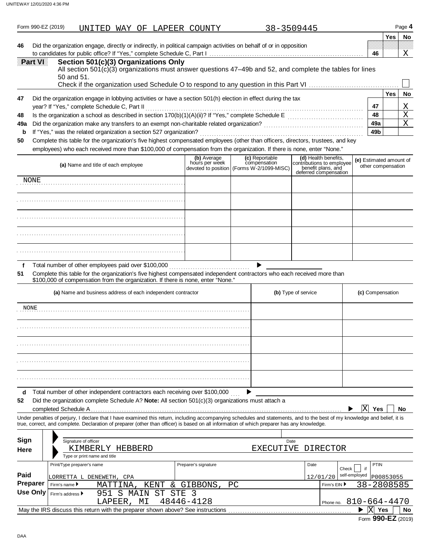|         | Form 990-EZ (2019)                  |                                                                    |            |      |                  | UNITED WAY OF LAPEER COUNTY                                                                                                                                                                                                                                                                                              |    |                                | 38-3509445          |                                                                                                  |                                               |            | Page 4         |
|---------|-------------------------------------|--------------------------------------------------------------------|------------|------|------------------|--------------------------------------------------------------------------------------------------------------------------------------------------------------------------------------------------------------------------------------------------------------------------------------------------------------------------|----|--------------------------------|---------------------|--------------------------------------------------------------------------------------------------|-----------------------------------------------|------------|----------------|
| 46      |                                     |                                                                    |            |      |                  | Did the organization engage, directly or indirectly, in political campaign activities on behalf of or in opposition                                                                                                                                                                                                      |    |                                |                     |                                                                                                  | ----<br>46                                    | Yes        | No<br>Χ        |
|         | Part VI                             | Section 501(c)(3) Organizations Only                               |            |      |                  |                                                                                                                                                                                                                                                                                                                          |    |                                |                     |                                                                                                  |                                               |            |                |
|         |                                     | 50 and 51.                                                         |            |      |                  | All section $501(c)(3)$ organizations must answer questions 47-49b and 52, and complete the tables for lines                                                                                                                                                                                                             |    |                                |                     |                                                                                                  |                                               |            |                |
|         |                                     |                                                                    |            |      |                  |                                                                                                                                                                                                                                                                                                                          |    |                                |                     |                                                                                                  |                                               |            |                |
|         |                                     |                                                                    |            |      |                  |                                                                                                                                                                                                                                                                                                                          |    |                                |                     |                                                                                                  |                                               | <b>Yes</b> | No             |
| 47      |                                     | year? If "Yes," complete Schedule C, Part II                       |            |      |                  | Did the organization engage in lobbying activities or have a section 501(h) election in effect during the tax                                                                                                                                                                                                            |    |                                |                     |                                                                                                  | 47                                            |            |                |
| 48      |                                     |                                                                    |            |      |                  |                                                                                                                                                                                                                                                                                                                          |    |                                |                     |                                                                                                  | 48                                            |            | $\frac{X}{X}$  |
| 49a     |                                     |                                                                    |            |      |                  |                                                                                                                                                                                                                                                                                                                          |    |                                |                     |                                                                                                  | 49a                                           |            | $\overline{X}$ |
| b       |                                     | If "Yes," was the related organization a section 527 organization? |            |      |                  |                                                                                                                                                                                                                                                                                                                          |    |                                |                     |                                                                                                  | 49b                                           |            |                |
| 50      |                                     |                                                                    |            |      |                  | Complete this table for the organization's five highest compensated employees (other than officers, directors, trustees, and key                                                                                                                                                                                         |    |                                |                     |                                                                                                  |                                               |            |                |
|         |                                     |                                                                    |            |      |                  | employees) who each received more than \$100,000 of compensation from the organization. If there is none, enter "None."                                                                                                                                                                                                  |    |                                |                     |                                                                                                  |                                               |            |                |
|         |                                     | (a) Name and title of each employee                                |            |      |                  | (b) Average<br>hours per week<br>devoted to position (Forms W-2/1099-MISC)                                                                                                                                                                                                                                               |    | (c) Reportable<br>compensation |                     | (d) Health benefits,<br>contributions to employee<br>benefit plans, and<br>deferred compensation | (e) Estimated amount of<br>other compensation |            |                |
|         | <b>NONE</b>                         |                                                                    |            |      |                  |                                                                                                                                                                                                                                                                                                                          |    |                                |                     |                                                                                                  |                                               |            |                |
|         |                                     |                                                                    |            |      |                  |                                                                                                                                                                                                                                                                                                                          |    |                                |                     |                                                                                                  |                                               |            |                |
|         |                                     |                                                                    |            |      |                  |                                                                                                                                                                                                                                                                                                                          |    |                                |                     |                                                                                                  |                                               |            |                |
|         |                                     |                                                                    |            |      |                  |                                                                                                                                                                                                                                                                                                                          |    |                                |                     |                                                                                                  |                                               |            |                |
|         |                                     |                                                                    |            |      |                  |                                                                                                                                                                                                                                                                                                                          |    |                                |                     |                                                                                                  |                                               |            |                |
|         |                                     |                                                                    |            |      |                  |                                                                                                                                                                                                                                                                                                                          |    |                                |                     |                                                                                                  |                                               |            |                |
| f<br>51 |                                     | Total number of other employees paid over \$100,000                |            |      |                  | Complete this table for the organization's five highest compensated independent contractors who each received more than<br>\$100,000 of compensation from the organization. If there is none, enter "None."                                                                                                              |    |                                |                     |                                                                                                  |                                               |            |                |
|         |                                     | (a) Name and business address of each independent contractor       |            |      |                  |                                                                                                                                                                                                                                                                                                                          |    |                                | (b) Type of service |                                                                                                  | (c) Compensation                              |            |                |
|         | NONE                                |                                                                    |            |      |                  |                                                                                                                                                                                                                                                                                                                          |    |                                |                     |                                                                                                  |                                               |            |                |
|         |                                     |                                                                    |            |      |                  |                                                                                                                                                                                                                                                                                                                          |    |                                |                     |                                                                                                  |                                               |            |                |
|         |                                     |                                                                    |            |      |                  |                                                                                                                                                                                                                                                                                                                          |    |                                |                     |                                                                                                  |                                               |            |                |
|         |                                     |                                                                    |            |      |                  |                                                                                                                                                                                                                                                                                                                          |    |                                |                     |                                                                                                  |                                               |            |                |
|         |                                     |                                                                    |            |      |                  |                                                                                                                                                                                                                                                                                                                          |    |                                |                     |                                                                                                  |                                               |            |                |
| d       |                                     |                                                                    |            |      |                  | Total number of other independent contractors each receiving over \$100,000                                                                                                                                                                                                                                              |    |                                |                     |                                                                                                  |                                               |            |                |
| 52      |                                     |                                                                    |            |      |                  | Did the organization complete Schedule A? Note: All section $501(c)(3)$ organizations must attach a                                                                                                                                                                                                                      |    |                                |                     |                                                                                                  |                                               |            |                |
|         |                                     |                                                                    |            |      |                  |                                                                                                                                                                                                                                                                                                                          |    |                                |                     |                                                                                                  | ΙX<br>Yes                                     |            | No             |
|         |                                     |                                                                    |            |      |                  | Under penalties of perjury, I declare that I have examined this return, including accompanying schedules and statements, and to the best of my knowledge and belief, it is<br>true, correct, and complete. Declaration of preparer (other than officer) is based on all information of which preparer has any knowledge. |    |                                |                     |                                                                                                  |                                               |            |                |
|         |                                     |                                                                    |            |      |                  |                                                                                                                                                                                                                                                                                                                          |    |                                |                     |                                                                                                  |                                               |            |                |
| Sign    |                                     | Signature of officer<br>KIMBERLY HEBBERD                           |            |      |                  |                                                                                                                                                                                                                                                                                                                          |    | EXECUTIVE                      | Date                | DIRECTOR                                                                                         |                                               |            |                |
| Here    |                                     | Type or print name and title                                       |            |      |                  |                                                                                                                                                                                                                                                                                                                          |    |                                |                     |                                                                                                  |                                               |            |                |
|         |                                     | Print/Type preparer's name                                         |            |      |                  | Preparer's signature                                                                                                                                                                                                                                                                                                     |    |                                | Date                |                                                                                                  | PTIN                                          |            |                |
| Paid    |                                     | LORRETTA L DENEWETH,                                               | CPA        |      |                  |                                                                                                                                                                                                                                                                                                                          |    |                                |                     | Check<br>12/01/20                                                                                | if<br>self-employed                           | P00853055  |                |
|         | <b>Preparer</b><br>Firm's name ▶    |                                                                    | MATTINA    |      | KENT             | & GIBBONS,                                                                                                                                                                                                                                                                                                               | РC |                                |                     | Firm's EIN ▶                                                                                     | 38-2808585                                    |            |                |
|         | <b>Use Only</b><br>Firm's address ▶ | 951                                                                | S          | MAIN | <b>STE</b><br>ST | 3                                                                                                                                                                                                                                                                                                                        |    |                                |                     |                                                                                                  |                                               |            |                |
|         |                                     |                                                                    | LAPEER, MI |      |                  | 48446-4128                                                                                                                                                                                                                                                                                                               |    |                                |                     | Phone no.                                                                                        | 810-664-4470                                  |            |                |
|         |                                     |                                                                    |            |      |                  | May the IRS discuss this return with the preparer shown above? See instructions                                                                                                                                                                                                                                          |    |                                |                     |                                                                                                  | $ X $ Yes                                     |            | No             |

| Form 990-EZ (2019) |  |
|--------------------|--|
|--------------------|--|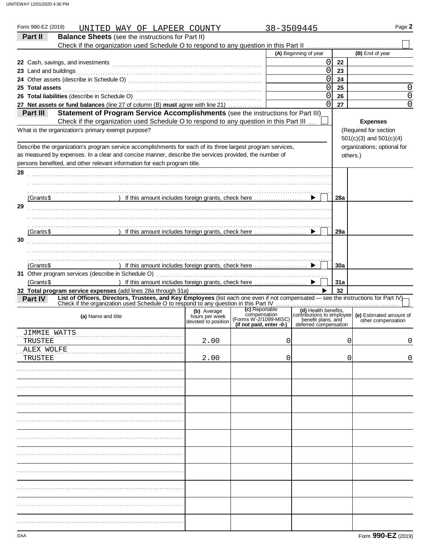| Form 990-EZ (2019)    | UNITED WAY OF LAPEER COUNTY                                                                                                                                                                                                 |                                       |                                | 38-3509445            |            | Page 2                                                                                                                                   |
|-----------------------|-----------------------------------------------------------------------------------------------------------------------------------------------------------------------------------------------------------------------------|---------------------------------------|--------------------------------|-----------------------|------------|------------------------------------------------------------------------------------------------------------------------------------------|
| Part II               | <b>Balance Sheets</b> (see the instructions for Part II)                                                                                                                                                                    |                                       |                                |                       |            |                                                                                                                                          |
|                       | Check if the organization used Schedule O to respond to any question in this Part II                                                                                                                                        |                                       |                                |                       |            |                                                                                                                                          |
|                       |                                                                                                                                                                                                                             |                                       |                                | (A) Beginning of year |            | (B) End of year                                                                                                                          |
|                       |                                                                                                                                                                                                                             |                                       |                                | 0                     | 22         |                                                                                                                                          |
| 23 Land and buildings |                                                                                                                                                                                                                             |                                       |                                | $\mathsf 0$           | 23         |                                                                                                                                          |
|                       |                                                                                                                                                                                                                             |                                       |                                | 0                     | 24         |                                                                                                                                          |
| 25 Total assets       |                                                                                                                                                                                                                             |                                       |                                | 0                     | 25         | 0                                                                                                                                        |
|                       |                                                                                                                                                                                                                             |                                       |                                | 0                     | 26         | 0                                                                                                                                        |
|                       | 27 Net assets or fund balances (line 27 of column (B) must agree with line 21)                                                                                                                                              |                                       |                                | 0                     | 27         | 0                                                                                                                                        |
| Part III              | Statement of Program Service Accomplishments (see the instructions for Part III)                                                                                                                                            |                                       |                                |                       |            |                                                                                                                                          |
|                       | Check if the organization used Schedule O to respond to any question in this Part III                                                                                                                                       |                                       |                                |                       |            | <b>Expenses</b>                                                                                                                          |
|                       | What is the organization's primary exempt purpose?                                                                                                                                                                          |                                       |                                |                       |            | (Required for section                                                                                                                    |
|                       |                                                                                                                                                                                                                             |                                       |                                |                       |            | $501(c)(3)$ and $501(c)(4)$                                                                                                              |
|                       | Describe the organization's program service accomplishments for each of its three largest program services,                                                                                                                 |                                       |                                |                       |            | organizations; optional for                                                                                                              |
|                       | as measured by expenses. In a clear and concise manner, describe the services provided, the number of                                                                                                                       |                                       |                                |                       |            | others.)                                                                                                                                 |
|                       | persons benefited, and other relevant information for each program title.                                                                                                                                                   |                                       |                                |                       |            |                                                                                                                                          |
| 28                    |                                                                                                                                                                                                                             |                                       |                                |                       |            |                                                                                                                                          |
|                       |                                                                                                                                                                                                                             |                                       |                                |                       |            |                                                                                                                                          |
|                       |                                                                                                                                                                                                                             |                                       |                                |                       |            |                                                                                                                                          |
| (Grants\$             | ) If this amount includes foreign grants, check here                                                                                                                                                                        |                                       |                                |                       | <b>28a</b> |                                                                                                                                          |
| 29                    |                                                                                                                                                                                                                             |                                       |                                |                       |            |                                                                                                                                          |
|                       |                                                                                                                                                                                                                             |                                       |                                |                       |            |                                                                                                                                          |
|                       |                                                                                                                                                                                                                             |                                       |                                |                       |            |                                                                                                                                          |
| (Grants\$             | ) If this amount includes foreign grants, check here                                                                                                                                                                        |                                       |                                |                       | 29a        |                                                                                                                                          |
| 30                    |                                                                                                                                                                                                                             |                                       |                                |                       |            |                                                                                                                                          |
|                       |                                                                                                                                                                                                                             |                                       |                                |                       |            |                                                                                                                                          |
|                       |                                                                                                                                                                                                                             |                                       |                                |                       |            |                                                                                                                                          |
|                       |                                                                                                                                                                                                                             |                                       |                                |                       |            |                                                                                                                                          |
| (Grants\$             | 31 Other program services (describe in Schedule O)                                                                                                                                                                          |                                       |                                |                       | 30a        |                                                                                                                                          |
|                       |                                                                                                                                                                                                                             |                                       |                                |                       |            |                                                                                                                                          |
|                       |                                                                                                                                                                                                                             |                                       |                                |                       |            |                                                                                                                                          |
| (Grants \$            |                                                                                                                                                                                                                             |                                       |                                | ▶                     | 31a        |                                                                                                                                          |
|                       | 32 Total program service expenses (add lines 28a through 31a)                                                                                                                                                               |                                       |                                |                       | 32         |                                                                                                                                          |
| Part IV               | List of Officers, Directors, Trustees, and Key Employees (list each one even if not compensated — see the instructions for Part IV)<br>Check if the organization used Schedule O to respond to any question in this Part IV |                                       |                                |                       |            |                                                                                                                                          |
|                       |                                                                                                                                                                                                                             | (b) Average                           | (c) Reportable<br>compensation |                       |            |                                                                                                                                          |
|                       | (a) Name and title                                                                                                                                                                                                          | hours per week<br>devoted to position | (Forms W-2/1099-MISC)          |                       |            | (d) Health benefits,<br>contributions to employee (e) Estimated amount of<br>benefit plans, and other compensation<br>other compensation |
|                       |                                                                                                                                                                                                                             |                                       | (if not paid, enter -0-)       | deferred compensation |            |                                                                                                                                          |
| JIMMIE WATTS          |                                                                                                                                                                                                                             |                                       |                                |                       |            |                                                                                                                                          |
| TROPTEE               |                                                                                                                                                                                                                             | 2.00                                  |                                |                       | 0          |                                                                                                                                          |
| ALEX WOLFE            |                                                                                                                                                                                                                             |                                       |                                |                       |            |                                                                                                                                          |
| TRUSTEE               |                                                                                                                                                                                                                             | 2.00                                  |                                | O                     | C          | 0                                                                                                                                        |
|                       |                                                                                                                                                                                                                             |                                       |                                |                       |            |                                                                                                                                          |
|                       |                                                                                                                                                                                                                             |                                       |                                |                       |            |                                                                                                                                          |
|                       |                                                                                                                                                                                                                             |                                       |                                |                       |            |                                                                                                                                          |
|                       |                                                                                                                                                                                                                             |                                       |                                |                       |            |                                                                                                                                          |
|                       |                                                                                                                                                                                                                             |                                       |                                |                       |            |                                                                                                                                          |
|                       |                                                                                                                                                                                                                             |                                       |                                |                       |            |                                                                                                                                          |
|                       |                                                                                                                                                                                                                             |                                       |                                |                       |            |                                                                                                                                          |
|                       |                                                                                                                                                                                                                             |                                       |                                |                       |            |                                                                                                                                          |
|                       |                                                                                                                                                                                                                             |                                       |                                |                       |            |                                                                                                                                          |
|                       |                                                                                                                                                                                                                             |                                       |                                |                       |            |                                                                                                                                          |
|                       |                                                                                                                                                                                                                             |                                       |                                |                       |            |                                                                                                                                          |
|                       |                                                                                                                                                                                                                             |                                       |                                |                       |            |                                                                                                                                          |
|                       |                                                                                                                                                                                                                             |                                       |                                |                       |            |                                                                                                                                          |
|                       |                                                                                                                                                                                                                             |                                       |                                |                       |            |                                                                                                                                          |
|                       |                                                                                                                                                                                                                             |                                       |                                |                       |            |                                                                                                                                          |
|                       |                                                                                                                                                                                                                             |                                       |                                |                       |            |                                                                                                                                          |
|                       |                                                                                                                                                                                                                             |                                       |                                |                       |            |                                                                                                                                          |
|                       |                                                                                                                                                                                                                             |                                       |                                |                       |            |                                                                                                                                          |
|                       |                                                                                                                                                                                                                             |                                       |                                |                       |            |                                                                                                                                          |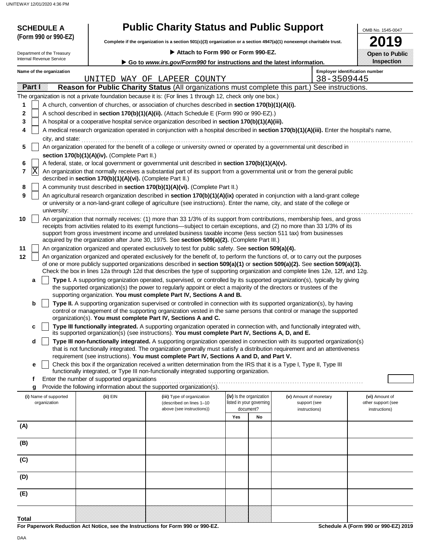| <b>SCHEDULE A</b><br>(Form 990 or 990-EZ) |                                                            | <b>Public Charity Status and Public Support</b>                                                                                                                                                                                                     |                                                      |    |                                        | OMB No. 1545-0047                     |  |  |  |
|-------------------------------------------|------------------------------------------------------------|-----------------------------------------------------------------------------------------------------------------------------------------------------------------------------------------------------------------------------------------------------|------------------------------------------------------|----|----------------------------------------|---------------------------------------|--|--|--|
|                                           |                                                            | Complete if the organization is a section 501(c)(3) organization or a section 4947(a)(1) nonexempt charitable trust.                                                                                                                                |                                                      |    |                                        | 2019                                  |  |  |  |
| Department of the Treasury                |                                                            | Attach to Form 990 or Form 990-EZ.<br><b>Open to Public</b><br>Inspection                                                                                                                                                                           |                                                      |    |                                        |                                       |  |  |  |
| Internal Revenue Service                  |                                                            | Go to www.irs.gov/Form990 for instructions and the latest information.                                                                                                                                                                              |                                                      |    |                                        |                                       |  |  |  |
| Name of the organization                  |                                                            | UNITED WAY OF LAPEER COUNTY                                                                                                                                                                                                                         |                                                      |    |                                        | <b>Employer identification number</b> |  |  |  |
| <b>Part I</b>                             |                                                            | Reason for Public Charity Status (All organizations must complete this part.) See instructions.                                                                                                                                                     |                                                      |    |                                        | 38-3509445                            |  |  |  |
|                                           |                                                            | The organization is not a private foundation because it is: (For lines 1 through 12, check only one box.)                                                                                                                                           |                                                      |    |                                        |                                       |  |  |  |
| 1                                         |                                                            | A church, convention of churches, or association of churches described in section 170(b)(1)(A)(i).                                                                                                                                                  |                                                      |    |                                        |                                       |  |  |  |
| $\mathbf{2}$                              |                                                            | A school described in section 170(b)(1)(A)(ii). (Attach Schedule E (Form 990 or 990-EZ).)                                                                                                                                                           |                                                      |    |                                        |                                       |  |  |  |
| 3                                         |                                                            | A hospital or a cooperative hospital service organization described in section 170(b)(1)(A)(iii).                                                                                                                                                   |                                                      |    |                                        |                                       |  |  |  |
| 4<br>city, and state:                     |                                                            | A medical research organization operated in conjunction with a hospital described in section 170(b)(1)(A)(iii). Enter the hospital's name,                                                                                                          |                                                      |    |                                        |                                       |  |  |  |
| 5                                         |                                                            | An organization operated for the benefit of a college or university owned or operated by a governmental unit described in                                                                                                                           |                                                      |    |                                        |                                       |  |  |  |
|                                           | section 170(b)(1)(A)(iv). (Complete Part II.)              |                                                                                                                                                                                                                                                     |                                                      |    |                                        |                                       |  |  |  |
| 6                                         |                                                            | A federal, state, or local government or governmental unit described in section 170(b)(1)(A)(v).                                                                                                                                                    |                                                      |    |                                        |                                       |  |  |  |
| $\overline{\mathrm{x}}$<br>7              |                                                            | An organization that normally receives a substantial part of its support from a governmental unit or from the general public                                                                                                                        |                                                      |    |                                        |                                       |  |  |  |
| 8                                         | described in section 170(b)(1)(A)(vi). (Complete Part II.) | A community trust described in section 170(b)(1)(A)(vi). (Complete Part II.)                                                                                                                                                                        |                                                      |    |                                        |                                       |  |  |  |
| 9                                         |                                                            | An agricultural research organization described in section 170(b)(1)(A)(ix) operated in conjunction with a land-grant college                                                                                                                       |                                                      |    |                                        |                                       |  |  |  |
| university:                               |                                                            | or university or a non-land-grant college of agriculture (see instructions). Enter the name, city, and state of the college or                                                                                                                      |                                                      |    |                                        |                                       |  |  |  |
| 10                                        |                                                            | An organization that normally receives: (1) more than 33 1/3% of its support from contributions, membership fees, and gross                                                                                                                         |                                                      |    |                                        |                                       |  |  |  |
|                                           |                                                            | receipts from activities related to its exempt functions—subject to certain exceptions, and (2) no more than 33 1/3% of its                                                                                                                         |                                                      |    |                                        |                                       |  |  |  |
|                                           |                                                            | support from gross investment income and unrelated business taxable income (less section 511 tax) from businesses<br>acquired by the organization after June 30, 1975. See section 509(a)(2). (Complete Part III.)                                  |                                                      |    |                                        |                                       |  |  |  |
| 11                                        |                                                            | An organization organized and operated exclusively to test for public safety. See section 509(a)(4).                                                                                                                                                |                                                      |    |                                        |                                       |  |  |  |
| 12                                        |                                                            | An organization organized and operated exclusively for the benefit of, to perform the functions of, or to carry out the purposes                                                                                                                    |                                                      |    |                                        |                                       |  |  |  |
|                                           |                                                            | of one or more publicly supported organizations described in section 509(a)(1) or section 509(a)(2). See section 509(a)(3).                                                                                                                         |                                                      |    |                                        |                                       |  |  |  |
|                                           |                                                            | Check the box in lines 12a through 12d that describes the type of supporting organization and complete lines 12e, 12f, and 12g.                                                                                                                     |                                                      |    |                                        |                                       |  |  |  |
| a                                         |                                                            | Type I. A supporting organization operated, supervised, or controlled by its supported organization(s), typically by giving<br>the supported organization(s) the power to regularly appoint or elect a majority of the directors or trustees of the |                                                      |    |                                        |                                       |  |  |  |
|                                           |                                                            | supporting organization. You must complete Part IV, Sections A and B.                                                                                                                                                                               |                                                      |    |                                        |                                       |  |  |  |
| b                                         |                                                            | Type II. A supporting organization supervised or controlled in connection with its supported organization(s), by having                                                                                                                             |                                                      |    |                                        |                                       |  |  |  |
|                                           |                                                            | control or management of the supporting organization vested in the same persons that control or manage the supported                                                                                                                                |                                                      |    |                                        |                                       |  |  |  |
|                                           |                                                            | organization(s). You must complete Part IV, Sections A and C.                                                                                                                                                                                       |                                                      |    |                                        |                                       |  |  |  |
|                                           |                                                            | Type III functionally integrated. A supporting organization operated in connection with, and functionally integrated with,<br>its supported organization(s) (see instructions). You must complete Part IV, Sections A, D, and E.                    |                                                      |    |                                        |                                       |  |  |  |
| d                                         |                                                            | Type III non-functionally integrated. A supporting organization operated in connection with its supported organization(s)                                                                                                                           |                                                      |    |                                        |                                       |  |  |  |
|                                           |                                                            | that is not functionally integrated. The organization generally must satisfy a distribution requirement and an attentiveness                                                                                                                        |                                                      |    |                                        |                                       |  |  |  |
|                                           |                                                            | requirement (see instructions). You must complete Part IV, Sections A and D, and Part V.<br>Check this box if the organization received a written determination from the IRS that it is a Type I, Type II, Type III                                 |                                                      |    |                                        |                                       |  |  |  |
| е                                         |                                                            | functionally integrated, or Type III non-functionally integrated supporting organization.                                                                                                                                                           |                                                      |    |                                        |                                       |  |  |  |
| f                                         | Enter the number of supported organizations                |                                                                                                                                                                                                                                                     |                                                      |    |                                        |                                       |  |  |  |
| g                                         |                                                            | Provide the following information about the supported organization(s).                                                                                                                                                                              |                                                      |    |                                        |                                       |  |  |  |
| (i) Name of supported<br>organization     | (ii) EIN                                                   | (iii) Type of organization<br>(described on lines 1-10                                                                                                                                                                                              | (iv) Is the organization<br>listed in your governing |    | (v) Amount of monetary<br>support (see | (vi) Amount of<br>other support (see  |  |  |  |
|                                           |                                                            | above (see instructions))                                                                                                                                                                                                                           | document?                                            |    | instructions)                          | instructions)                         |  |  |  |
|                                           |                                                            |                                                                                                                                                                                                                                                     | Yes                                                  | No |                                        |                                       |  |  |  |
| (A)                                       |                                                            |                                                                                                                                                                                                                                                     |                                                      |    |                                        |                                       |  |  |  |
| (B)                                       |                                                            |                                                                                                                                                                                                                                                     |                                                      |    |                                        |                                       |  |  |  |
| (C)                                       |                                                            |                                                                                                                                                                                                                                                     |                                                      |    |                                        |                                       |  |  |  |
|                                           |                                                            |                                                                                                                                                                                                                                                     |                                                      |    |                                        |                                       |  |  |  |
| (D)                                       |                                                            |                                                                                                                                                                                                                                                     |                                                      |    |                                        |                                       |  |  |  |
| (E)                                       |                                                            |                                                                                                                                                                                                                                                     |                                                      |    |                                        |                                       |  |  |  |
|                                           |                                                            |                                                                                                                                                                                                                                                     |                                                      |    |                                        |                                       |  |  |  |

**For Paperwork Reduction Act Notice, see the Instructions for Form 990 or 990-EZ.**

**Schedule A (Form 990 or 990-EZ) 2019**

**Total**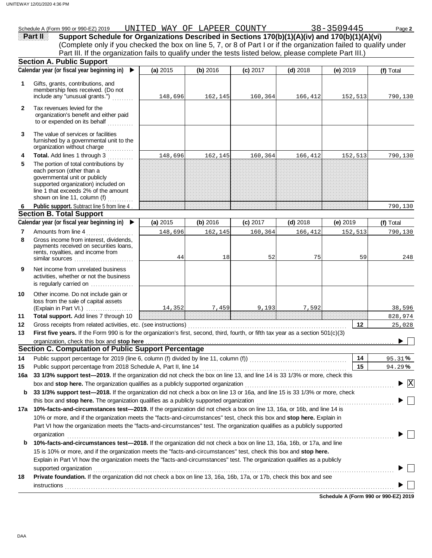|              | Schedule A (Form 990 or 990-EZ) 2019                                                                                               | UNITED WAY OF LAPEER COUNTY |          |            |            | 38-3509445 | Page 2                             |
|--------------|------------------------------------------------------------------------------------------------------------------------------------|-----------------------------|----------|------------|------------|------------|------------------------------------|
|              | Support Schedule for Organizations Described in Sections 170(b)(1)(A)(iv) and 170(b)(1)(A)(vi)<br>Part II                          |                             |          |            |            |            |                                    |
|              | (Complete only if you checked the box on line 5, 7, or 8 of Part I or if the organization failed to qualify under                  |                             |          |            |            |            |                                    |
|              | Part III. If the organization fails to qualify under the tests listed below, please complete Part III.)                            |                             |          |            |            |            |                                    |
|              | <b>Section A. Public Support</b>                                                                                                   |                             |          |            |            |            |                                    |
|              | Calendar year (or fiscal year beginning in)<br>$\blacktriangleright$                                                               | (a) 2015                    | (b) 2016 | (c) 2017   | $(d)$ 2018 | (e) 2019   | (f) Total                          |
| 1            | Gifts, grants, contributions, and                                                                                                  |                             |          |            |            |            |                                    |
|              | membership fees received. (Do not                                                                                                  |                             |          |            |            |            |                                    |
|              | include any "unusual grants.")                                                                                                     | 148,696                     | 162,145  | 160,364    | 166,412    | 152,513    | 790,130                            |
| $\mathbf{2}$ | Tax revenues levied for the                                                                                                        |                             |          |            |            |            |                                    |
|              | organization's benefit and either paid                                                                                             |                             |          |            |            |            |                                    |
|              | to or expended on its behalf                                                                                                       |                             |          |            |            |            |                                    |
|              |                                                                                                                                    |                             |          |            |            |            |                                    |
| 3            | The value of services or facilities<br>furnished by a governmental unit to the                                                     |                             |          |            |            |            |                                    |
|              | organization without charge                                                                                                        |                             |          |            |            |            |                                    |
| 4            | Total. Add lines 1 through 3                                                                                                       | 148,696                     | 162,145  | 160,364    | 166,412    | 152,513    | 790,130                            |
| 5            | The portion of total contributions by                                                                                              |                             |          |            |            |            |                                    |
|              | each person (other than a                                                                                                          |                             |          |            |            |            |                                    |
|              | governmental unit or publicly                                                                                                      |                             |          |            |            |            |                                    |
|              | supported organization) included on                                                                                                |                             |          |            |            |            |                                    |
|              | line 1 that exceeds 2% of the amount<br>shown on line 11, column (f)                                                               |                             |          |            |            |            |                                    |
| 6            | Public support. Subtract line 5 from line 4                                                                                        |                             |          |            |            |            | 790,130                            |
|              | <b>Section B. Total Support</b>                                                                                                    |                             |          |            |            |            |                                    |
|              | Calendar year (or fiscal year beginning in)<br>$\blacktriangleright$                                                               | (a) 2015                    | (b) 2016 | $(c)$ 2017 | $(d)$ 2018 | (e) 2019   | (f) Total                          |
| 7            | Amounts from line 4                                                                                                                | 148,696                     | 162,145  | 160,364    | 166,412    | 152,513    | 790,130                            |
| 8            | Gross income from interest, dividends,                                                                                             |                             |          |            |            |            |                                    |
|              | payments received on securities loans,                                                                                             |                             |          |            |            |            |                                    |
|              | rents, royalties, and income from                                                                                                  | 44                          | 18       | 52         | 75         | 59         | 248                                |
|              | similar sources                                                                                                                    |                             |          |            |            |            |                                    |
| 9            | Net income from unrelated business                                                                                                 |                             |          |            |            |            |                                    |
|              | activities, whether or not the business                                                                                            |                             |          |            |            |            |                                    |
|              | is regularly carried on                                                                                                            |                             |          |            |            |            |                                    |
| 10           | Other income. Do not include gain or                                                                                               |                             |          |            |            |            |                                    |
|              | loss from the sale of capital assets                                                                                               |                             |          |            |            |            |                                    |
|              | (Explain in Part VI.)                                                                                                              | 14,352                      | 7,459    | 9,193      | 7.592      |            | 38,596                             |
| 11           | Total support. Add lines 7 through 10                                                                                              |                             |          |            |            |            | 828,974                            |
| 12           | Gross receipts from related activities, etc. (see instructions)                                                                    |                             |          |            |            | 12         | 25,028                             |
| 13           | First five years. If the Form 990 is for the organization's first, second, third, fourth, or fifth tax year as a section 501(c)(3) |                             |          |            |            |            | $\blacksquare$                     |
|              | Section C. Computation of Public Support Percentage                                                                                |                             |          |            |            |            |                                    |
|              |                                                                                                                                    |                             |          |            |            |            |                                    |
| 14           |                                                                                                                                    |                             |          |            |            | 14         | 95.31%                             |
| 15           | Public support percentage from 2018 Schedule A, Part II, line 14                                                                   |                             |          |            |            | 15         | 94.29%                             |
| 16a          | 33 1/3% support test-2019. If the organization did not check the box on line 13, and line 14 is 33 1/3% or more, check this        |                             |          |            |            |            |                                    |
|              | box and stop here. The organization qualifies as a publicly supported organization                                                 |                             |          |            |            |            | $\blacktriangleright$ $\mathbf{X}$ |
| b            | 33 1/3% support test-2018. If the organization did not check a box on line 13 or 16a, and line 15 is 33 1/3% or more, check        |                             |          |            |            |            |                                    |
|              | this box and stop here. The organization qualifies as a publicly supported organization                                            |                             |          |            |            |            |                                    |
|              | 17a 10%-facts-and-circumstances test-2019. If the organization did not check a box on line 13, 16a, or 16b, and line 14 is         |                             |          |            |            |            |                                    |
|              | 10% or more, and if the organization meets the "facts-and-circumstances" test, check this box and stop here. Explain in            |                             |          |            |            |            |                                    |
|              | Part VI how the organization meets the "facts-and-circumstances" test. The organization qualifies as a publicly supported          |                             |          |            |            |            |                                    |
|              | organization                                                                                                                       |                             |          |            |            |            |                                    |
| b            | 10%-facts-and-circumstances test-2018. If the organization did not check a box on line 13, 16a, 16b, or 17a, and line              |                             |          |            |            |            |                                    |
|              | 15 is 10% or more, and if the organization meets the "facts-and-circumstances" test, check this box and stop here.                 |                             |          |            |            |            |                                    |
|              | Explain in Part VI how the organization meets the "facts-and-circumstances" test. The organization qualifies as a publicly         |                             |          |            |            |            |                                    |
|              | supported organization                                                                                                             |                             |          |            |            |            |                                    |
| 18           | Private foundation. If the organization did not check a box on line 13, 16a, 16b, 17a, or 17b, check this box and see              |                             |          |            |            |            |                                    |
|              | instructions                                                                                                                       |                             |          |            |            |            |                                    |

**Schedule A (Form 990 or 990-EZ) 2019**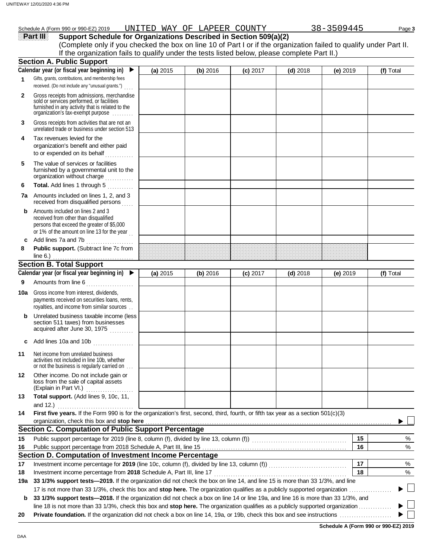|              | Schedule A (Form 990 or 990-EZ) 2019                                                                                                                                              | UNITED WAY OF LAPEER COUNTY |          |            |            | 38-3509445 | Page 3    |
|--------------|-----------------------------------------------------------------------------------------------------------------------------------------------------------------------------------|-----------------------------|----------|------------|------------|------------|-----------|
|              | Support Schedule for Organizations Described in Section 509(a)(2)<br><b>Part III</b>                                                                                              |                             |          |            |            |            |           |
|              | (Complete only if you checked the box on line 10 of Part I or if the organization failed to qualify under Part II.                                                                |                             |          |            |            |            |           |
|              | If the organization fails to qualify under the tests listed below, please complete Part II.)                                                                                      |                             |          |            |            |            |           |
|              | <b>Section A. Public Support</b>                                                                                                                                                  |                             |          |            |            |            |           |
|              | Calendar year (or fiscal year beginning in) $\blacktriangleright$                                                                                                                 | (a) 2015                    | (b) 2016 | $(c)$ 2017 | $(d)$ 2018 | $(e)$ 2019 | (f) Total |
| 1            | Gifts, grants, contributions, and membership fees<br>received. (Do not include any "unusual grants.")                                                                             |                             |          |            |            |            |           |
| $\mathbf{2}$ | Gross receipts from admissions, merchandise<br>sold or services performed, or facilities<br>furnished in any activity that is related to the<br>organization's tax-exempt purpose |                             |          |            |            |            |           |
| 3            | Gross receipts from activities that are not an<br>unrelated trade or business under section 513                                                                                   |                             |          |            |            |            |           |
| 4            | Tax revenues levied for the<br>organization's benefit and either paid<br>to or expended on its behalf                                                                             |                             |          |            |            |            |           |
| 5            | The value of services or facilities<br>furnished by a governmental unit to the<br>organization without charge<br>.                                                                |                             |          |            |            |            |           |
| 6            | Total. Add lines 1 through 5<br>.                                                                                                                                                 |                             |          |            |            |            |           |
| 7a           | Amounts included on lines 1, 2, and 3<br>received from disqualified persons                                                                                                       |                             |          |            |            |            |           |
| b            | Amounts included on lines 2 and 3<br>received from other than disqualified<br>persons that exceed the greater of \$5,000<br>or 1% of the amount on line 13 for the year           |                             |          |            |            |            |           |
| c            | Add lines 7a and 7b<br>.                                                                                                                                                          |                             |          |            |            |            |           |
| 8            | Public support. (Subtract line 7c from<br>line $6.$ )                                                                                                                             |                             |          |            |            |            |           |
|              |                                                                                                                                                                                   |                             |          |            |            |            |           |
|              | <b>Section B. Total Support</b>                                                                                                                                                   |                             |          |            |            |            |           |
|              | Calendar year (or fiscal year beginning in) $\blacktriangleright$                                                                                                                 | (a) 2015                    | (b) 2016 | $(c)$ 2017 | $(d)$ 2018 | $(e)$ 2019 | (f) Total |
| 9            | Amounts from line 6                                                                                                                                                               |                             |          |            |            |            |           |
| 10a          | Gross income from interest, dividends,<br>payments received on securities loans, rents,<br>royalties, and income from similar sources                                             |                             |          |            |            |            |           |
| b            | Unrelated business taxable income (less<br>section 511 taxes) from businesses<br>acquired after June 30, 1975                                                                     |                             |          |            |            |            |           |
| c            | Add lines 10a and 10b                                                                                                                                                             |                             |          |            |            |            |           |
| 11           | Net income from unrelated business<br>activities not included in line 10b, whether<br>or not the business is regularly carried on                                                 |                             |          |            |            |            |           |
| 12           | Other income. Do not include gain or<br>loss from the sale of capital assets                                                                                                      |                             |          |            |            |            |           |
| 13           | (Explain in Part VI.)<br>Total support. (Add lines 9, 10c, 11,                                                                                                                    |                             |          |            |            |            |           |
| 14           | and $12.$ )<br>First five years. If the Form 990 is for the organization's first, second, third, fourth, or fifth tax year as a section $501(c)(3)$                               |                             |          |            |            |            |           |
|              | organization, check this box and stop here                                                                                                                                        |                             |          |            |            |            |           |
|              | <b>Section C. Computation of Public Support Percentage</b>                                                                                                                        |                             |          |            |            |            |           |
| 15           |                                                                                                                                                                                   |                             |          |            |            | 15         | %         |
| 16           |                                                                                                                                                                                   |                             |          |            |            | 16         | $\%$      |
|              | Section D. Computation of Investment Income Percentage                                                                                                                            |                             |          |            |            |            |           |
| 17           |                                                                                                                                                                                   |                             |          |            |            | 17         | %         |
| 18           |                                                                                                                                                                                   |                             |          |            |            | 18         | $\%$      |
| 19a          | 33 1/3% support tests-2019. If the organization did not check the box on line 14, and line 15 is more than 33 1/3%, and line                                                      |                             |          |            |            |            |           |

**b 33 1/3% support tests—2018.** If the organization did not check a box on line 14 or line 19a, and line 16 is more than 33 1/3%, and line 18 is not more than 33 1/3%, check this box and **stop here.** The organization qualifies as a publicly supported organization . . . . . . . . . . . . . .

**20 Private foundation.** If the organization did not check a box on line 14, 19a, or 19b, check this box and see instructions . . . . . . . . . . . . . . . . . . . . . .

**Schedule A (Form 990 or 990-EZ) 2019**

 $\blacksquare$  $\blacktriangleright$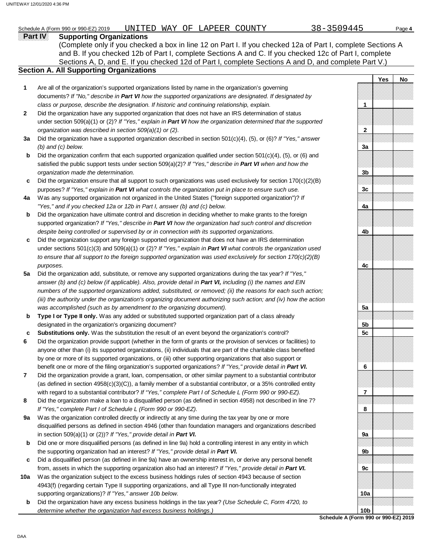**1**

**2**

**b**

**c**

**4a**

**b**

**c**

**5a**

**b**

**c 6**

**7**

**8**

**9a**

#### **Part IV** Supporting Organizations Sections A, D, and E. If you checked 12d of Part I, complete Sections A and D, and complete Part V.) Schedule A (Form 990 or 990-EZ) 2019 UNITED WAY OF LAPEER COUNTY 38-3509445 Page 4 **Section A. All Supporting Organizations** (Complete only if you checked a box in line 12 on Part I. If you checked 12a of Part I, complete Sections A and B. If you checked 12b of Part I, complete Sections A and C. If you checked 12c of Part I, complete Are all of the organization's supported organizations listed by name in the organization's governing documents? *If "No," describe in Part VI how the supported organizations are designated. If designated by class or purpose, describe the designation. If historic and continuing relationship, explain.* Did the organization have any supported organization that does not have an IRS determination of status under section 509(a)(1) or (2)? *If "Yes," explain in Part VI how the organization determined that the supported organization was described in section 509(a)(1) or (2).* **3a** Did the organization have a supported organization described in section 501(c)(4), (5), or (6)? *If "Yes," answer (b) and (c) below.* Did the organization confirm that each supported organization qualified under section 501(c)(4), (5), or (6) and satisfied the public support tests under section 509(a)(2)? *If "Yes," describe in Part VI when and how the organization made the determination.* Did the organization ensure that all support to such organizations was used exclusively for section  $170(c)(2)(B)$ purposes? *If "Yes," explain in Part VI what controls the organization put in place to ensure such use.* Was any supported organization not organized in the United States ("foreign supported organization")? *If "Yes," and if you checked 12a or 12b in Part I, answer (b) and (c) below.* Did the organization have ultimate control and discretion in deciding whether to make grants to the foreign supported organization? *If "Yes," describe in Part VI how the organization had such control and discretion despite being controlled or supervised by or in connection with its supported organizations.* Did the organization support any foreign supported organization that does not have an IRS determination under sections 501(c)(3) and 509(a)(1) or (2)? *If "Yes," explain in Part VI what controls the organization used to ensure that all support to the foreign supported organization was used exclusively for section 170(c)(2)(B) purposes.* Did the organization add, substitute, or remove any supported organizations during the tax year? *If "Yes,"* answer (b) and (c) below (if applicable). Also, provide detail in **Part VI**, *including (i)* the names and EIN *numbers of the supported organizations added, substituted, or removed; (ii) the reasons for each such action; (iii) the authority under the organization's organizing document authorizing such action; and (iv) how the action was accomplished (such as by amendment to the organizing document).* **Type I or Type II only.** Was any added or substituted supported organization part of a class already designated in the organization's organizing document? **Substitutions only.** Was the substitution the result of an event beyond the organization's control? Did the organization provide support (whether in the form of grants or the provision of services or facilities) to anyone other than (i) its supported organizations, (ii) individuals that are part of the charitable class benefited by one or more of its supported organizations, or (iii) other supporting organizations that also support or benefit one or more of the filing organization's supported organizations? *If "Yes," provide detail in Part VI.* Did the organization provide a grant, loan, compensation, or other similar payment to a substantial contributor (as defined in section 4958(c)(3)(C)), a family member of a substantial contributor, or a 35% controlled entity with regard to a substantial contributor? *If "Yes," complete Part I of Schedule L (Form 990 or 990-EZ).* Did the organization make a loan to a disqualified person (as defined in section 4958) not described in line 7? *If "Yes," complete Part I of Schedule L (Form 990 or 990-EZ).* Was the organization controlled directly or indirectly at any time during the tax year by one or more disqualified persons as defined in section 4946 (other than foundation managers and organizations described **Yes No 1 2 3a 3b 3c 4a 4b 4c 5a 5b 5c 6 7 8**

- **b** in section 509(a)(1) or (2))? *If "Yes," provide detail in Part VI.* Did one or more disqualified persons (as defined in line 9a) hold a controlling interest in any entity in which the supporting organization had an interest? *If "Yes," provide detail in Part VI.*
- **c** Did a disqualified person (as defined in line 9a) have an ownership interest in, or derive any personal benefit from, assets in which the supporting organization also had an interest? *If "Yes," provide detail in Part VI.*
- **10a** Was the organization subject to the excess business holdings rules of section 4943 because of section 4943(f) (regarding certain Type II supporting organizations, and all Type III non-functionally integrated supporting organizations)? *If "Yes," answer 10b below.*
- **b** Did the organization have any excess business holdings in the tax year? *(Use Schedule C, Form 4720, to determine whether the organization had excess business holdings.)*

**Schedule A (Form 990 or 990-EZ) 2019 10b**

**9a**

**9b**

**9c**

**10a**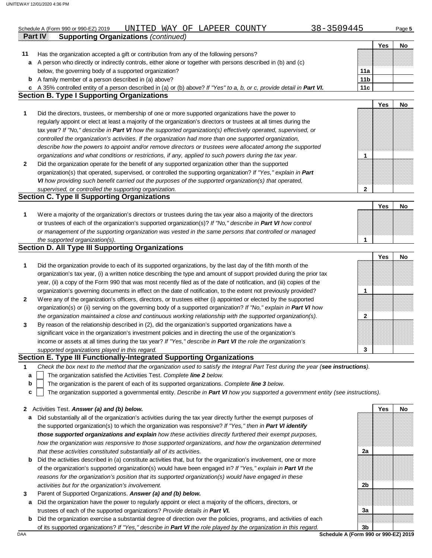|              | 38-3509445<br>UNITED WAY OF LAPEER COUNTY<br>Schedule A (Form 990 or 990-EZ) 2019                                                                                                                         |              |     | Page 5 |
|--------------|-----------------------------------------------------------------------------------------------------------------------------------------------------------------------------------------------------------|--------------|-----|--------|
|              | <b>Supporting Organizations (continued)</b><br>Part IV                                                                                                                                                    |              |     |        |
|              |                                                                                                                                                                                                           |              | Yes | No     |
| 11           | Has the organization accepted a gift or contribution from any of the following persons?                                                                                                                   |              |     |        |
| а            | A person who directly or indirectly controls, either alone or together with persons described in (b) and (c)                                                                                              |              |     |        |
|              | below, the governing body of a supported organization?                                                                                                                                                    | 11a          |     |        |
|              | <b>b</b> A family member of a person described in (a) above?                                                                                                                                              | 11b          |     |        |
| c            | A 35% controlled entity of a person described in (a) or (b) above? If "Yes" to a, b, or c, provide detail in Part VI.                                                                                     | 11c          |     |        |
|              | <b>Section B. Type I Supporting Organizations</b>                                                                                                                                                         |              |     |        |
|              |                                                                                                                                                                                                           |              | Yes | No     |
| 1            | Did the directors, trustees, or membership of one or more supported organizations have the power to                                                                                                       |              |     |        |
|              | regularly appoint or elect at least a majority of the organization's directors or trustees at all times during the                                                                                        |              |     |        |
|              | tax year? If "No," describe in Part VI how the supported organization(s) effectively operated, supervised, or                                                                                             |              |     |        |
|              | controlled the organization's activities. If the organization had more than one supported organization,                                                                                                   |              |     |        |
|              |                                                                                                                                                                                                           |              |     |        |
|              | describe how the powers to appoint and/or remove directors or trustees were allocated among the supported                                                                                                 |              |     |        |
|              | organizations and what conditions or restrictions, if any, applied to such powers during the tax year.                                                                                                    | 1            |     |        |
| $\mathbf{2}$ | Did the organization operate for the benefit of any supported organization other than the supported                                                                                                       |              |     |        |
|              | organization(s) that operated, supervised, or controlled the supporting organization? If "Yes," explain in Part                                                                                           |              |     |        |
|              | VI how providing such benefit carried out the purposes of the supported organization(s) that operated,                                                                                                    |              |     |        |
|              | supervised, or controlled the supporting organization.                                                                                                                                                    | $\mathbf{2}$ |     |        |
|              | <b>Section C. Type II Supporting Organizations</b>                                                                                                                                                        |              |     |        |
|              |                                                                                                                                                                                                           |              |     |        |
|              |                                                                                                                                                                                                           |              | Yes | No     |
| 1            | Were a majority of the organization's directors or trustees during the tax year also a majority of the directors                                                                                          |              |     |        |
|              | or trustees of each of the organization's supported organization(s)? If "No," describe in Part VI how control                                                                                             |              |     |        |
|              | or management of the supporting organization was vested in the same persons that controlled or managed                                                                                                    |              |     |        |
|              | the supported organization(s).                                                                                                                                                                            | 1            |     |        |
|              | <b>Section D. All Type III Supporting Organizations</b>                                                                                                                                                   |              |     |        |
|              |                                                                                                                                                                                                           |              | Yes | No     |
| 1            | Did the organization provide to each of its supported organizations, by the last day of the fifth month of the                                                                                            |              |     |        |
|              | organization's tax year, (i) a written notice describing the type and amount of support provided during the prior tax                                                                                     |              |     |        |
|              | year, (ii) a copy of the Form 990 that was most recently filed as of the date of notification, and (iii) copies of the                                                                                    |              |     |        |
|              | organization's governing documents in effect on the date of notification, to the extent not previously provided?                                                                                          | 1            |     |        |
| $\mathbf{2}$ | Were any of the organization's officers, directors, or trustees either (i) appointed or elected by the supported                                                                                          |              |     |        |
|              | organization(s) or (ii) serving on the governing body of a supported organization? If "No," explain in Part VI how                                                                                        |              |     |        |
|              | the organization maintained a close and continuous working relationship with the supported organization(s).                                                                                               | $\mathbf{2}$ |     |        |
|              |                                                                                                                                                                                                           |              |     |        |
| 3            | By reason of the relationship described in (2), did the organization's supported organizations have a                                                                                                     |              |     |        |
|              | significant voice in the organization's investment policies and in directing the use of the organization's                                                                                                |              |     |        |
|              | income or assets at all times during the tax year? If "Yes," describe in Part VI the role the organization's                                                                                              |              |     |        |
|              | supported organizations played in this regard.                                                                                                                                                            | 3            |     |        |
| 1            | Section E. Type III Functionally-Integrated Supporting Organizations<br>Check the box next to the method that the organization used to satisfy the Integral Part Test during the year (see instructions). |              |     |        |

- The organization satisfied the Activities Test. *Complete line 2 below.* **a**
	- The organization is the parent of each of its supported organizations. *Complete line 3 below.*
- The organization supported a governmental entity. *Describe in Part VI how you supported a government entity (see instructions).* **c**

- **a** Did substantially all of the organization's activities during the tax year directly further the exempt purposes of the supported organization(s) to which the organization was responsive? *If "Yes," then in Part VI identify those supported organizations and explain how these activities directly furthered their exempt purposes, how the organization was responsive to those supported organizations, and how the organization determined that these activities constituted substantially all of its activities.*
- **b** Did the activities described in (a) constitute activities that, but for the organization's involvement, one or more of the organization's supported organization(s) would have been engaged in? *If "Yes," explain in Part VI the reasons for the organization's position that its supported organization(s) would have engaged in these activities but for the organization's involvement.*
- **3** Parent of Supported Organizations. *Answer (a) and (b) below.*
- **a** Did the organization have the power to regularly appoint or elect a majority of the officers, directors, or trustees of each of the supported organizations? *Provide details in Part VI.*
- **b** Did the organization exercise a substantial degree of direction over the policies, programs, and activities of each of its supported organizations? *If "Yes," describe in Part VI the role played by the organization in this regard.*

**Yes No 2a 2b 3a 3b**

**b**

**<sup>2</sup>** Activities Test. *Answer (a) and (b) below.*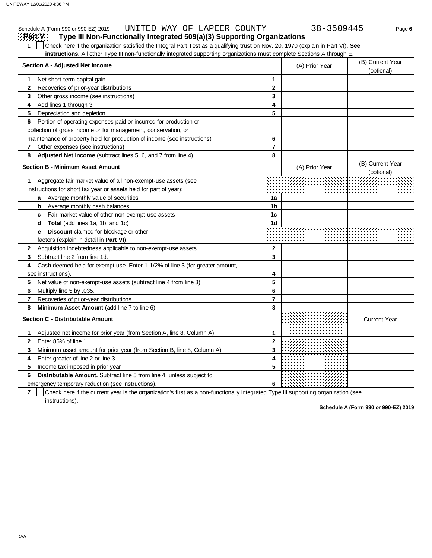|              | UNITED WAY OF LAPEER COUNTY<br>Schedule A (Form 990 or 990-EZ) 2019                                                              |                | 38-3509445     | Page 6                         |
|--------------|----------------------------------------------------------------------------------------------------------------------------------|----------------|----------------|--------------------------------|
| Pattev       | Type III Non-Functionally Integrated 509(a)(3) Supporting Organizations                                                          |                |                |                                |
| 1            | Check here if the organization satisfied the Integral Part Test as a qualifying trust on Nov. 20, 1970 (explain in Part VI). See |                |                |                                |
|              | instructions. All other Type III non-functionally integrated supporting organizations must complete Sections A through E.        |                |                |                                |
|              | Section A - Adjusted Net Income                                                                                                  |                | (A) Prior Year | (B) Current Year               |
|              |                                                                                                                                  |                |                | (optional)                     |
| 1            | Net short-term capital gain                                                                                                      | 1              |                |                                |
| $\mathbf{2}$ | Recoveries of prior-year distributions                                                                                           | $\overline{2}$ |                |                                |
| 3            | Other gross income (see instructions)                                                                                            | 3              |                |                                |
| 4            | Add lines 1 through 3.                                                                                                           | 4              |                |                                |
| 5            | Depreciation and depletion                                                                                                       | 5              |                |                                |
| 6            | Portion of operating expenses paid or incurred for production or                                                                 |                |                |                                |
|              | collection of gross income or for management, conservation, or                                                                   |                |                |                                |
|              | maintenance of property held for production of income (see instructions)                                                         | 6              |                |                                |
| 7            | Other expenses (see instructions)                                                                                                | $\overline{7}$ |                |                                |
| 8            | Adjusted Net Income (subtract lines 5, 6, and 7 from line 4)                                                                     | 8              |                |                                |
|              | <b>Section B - Minimum Asset Amount</b>                                                                                          |                | (A) Prior Year | (B) Current Year<br>(optional) |
| 1            | Aggregate fair market value of all non-exempt-use assets (see                                                                    |                |                |                                |
|              | instructions for short tax year or assets held for part of year):                                                                |                |                |                                |
|              | Average monthly value of securities<br>a                                                                                         | 1a             |                |                                |
|              | <b>b</b> Average monthly cash balances                                                                                           | 1b             |                |                                |
|              | <b>c</b> Fair market value of other non-exempt-use assets                                                                        | 1 <sub>c</sub> |                |                                |
|              | Total (add lines 1a, 1b, and 1c)<br>d                                                                                            | 1d             |                |                                |
|              | Discount claimed for blockage or other<br>e                                                                                      |                |                |                                |
|              | factors (explain in detail in Part VI):                                                                                          |                |                |                                |
| $\mathbf{2}$ | Acquisition indebtedness applicable to non-exempt-use assets                                                                     | $\mathbf{2}$   |                |                                |
| 3            | Subtract line 2 from line 1d.                                                                                                    | 3              |                |                                |
| 4            | Cash deemed held for exempt use. Enter 1-1/2% of line 3 (for greater amount,                                                     |                |                |                                |
|              | see instructions)                                                                                                                | 4              |                |                                |
| 5            | Net value of non-exempt-use assets (subtract line 4 from line 3)                                                                 | 5              |                |                                |
| 6            | Multiply line 5 by .035.                                                                                                         | 6              |                |                                |
| 7            | Recoveries of prior-year distributions                                                                                           | $\overline{7}$ |                |                                |
| 8            | Minimum Asset Amount (add line 7 to line 6)                                                                                      | 8              |                |                                |
|              | <b>Section C - Distributable Amount</b>                                                                                          |                |                | <b>Current Year</b>            |
| 1            | Adjusted net income for prior year (from Section A, line 8, Column A)                                                            | 1              |                |                                |
| $\mathbf{2}$ | Enter 85% of line 1.                                                                                                             | $\mathbf{2}$   |                |                                |
| 3            | Minimum asset amount for prior year (from Section B, line 8, Column A)                                                           | 3              |                |                                |
| 4            | Enter greater of line 2 or line 3.                                                                                               | 4              |                |                                |
| 5            | Income tax imposed in prior year                                                                                                 | 5              |                |                                |
| 6            | <b>Distributable Amount.</b> Subtract line 5 from line 4, unless subject to                                                      |                |                |                                |
|              | emergency temporary reduction (see instructions).                                                                                | 6              |                |                                |
|              |                                                                                                                                  |                |                |                                |

**7**  $\,$   $\,$   $\,$   $\,$   $\,$   $\,$   $\,$  Check here if the current year is the organization's first as a non-functionally integrated Type III supporting organization (see instructions).

**Schedule A (Form 990 or 990-EZ) 2019**

DAA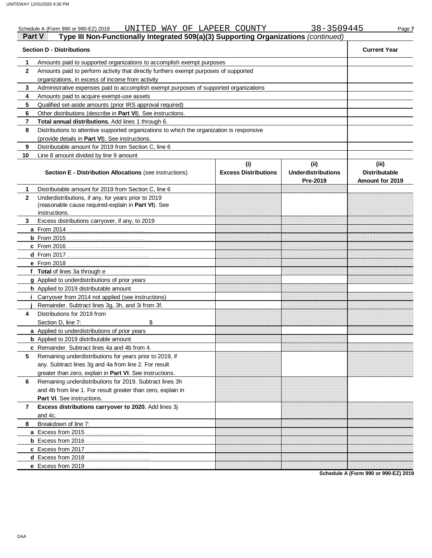|              | Schedule A (Form 990 or 990-EZ) 2019                                                                       | UNITED WAY OF LAPEER COUNTY        | 38-3509445                                    | Page 7                                           |
|--------------|------------------------------------------------------------------------------------------------------------|------------------------------------|-----------------------------------------------|--------------------------------------------------|
| Part V       | Type III Non-Functionally Integrated 509(a)(3) Supporting Organizations (continued)                        |                                    |                                               |                                                  |
|              | <b>Section D - Distributions</b>                                                                           |                                    |                                               | <b>Current Year</b>                              |
| 1            | Amounts paid to supported organizations to accomplish exempt purposes                                      |                                    |                                               |                                                  |
| $\mathbf{2}$ | Amounts paid to perform activity that directly furthers exempt purposes of supported                       |                                    |                                               |                                                  |
|              | organizations, in excess of income from activity                                                           |                                    |                                               |                                                  |
| 3            | Administrative expenses paid to accomplish exempt purposes of supported organizations                      |                                    |                                               |                                                  |
| 4            | Amounts paid to acquire exempt-use assets                                                                  |                                    |                                               |                                                  |
| 5            | Qualified set-aside amounts (prior IRS approval required)                                                  |                                    |                                               |                                                  |
| 6            | Other distributions (describe in Part VI). See instructions.                                               |                                    |                                               |                                                  |
| 7            | Total annual distributions. Add lines 1 through 6.                                                         |                                    |                                               |                                                  |
| 8            | Distributions to attentive supported organizations to which the organization is responsive                 |                                    |                                               |                                                  |
|              | (provide details in Part VI). See instructions.                                                            |                                    |                                               |                                                  |
| 9            | Distributable amount for 2019 from Section C, line 6                                                       |                                    |                                               |                                                  |
| 10           | Line 8 amount divided by line 9 amount                                                                     |                                    |                                               |                                                  |
|              | Section E - Distribution Allocations (see instructions)                                                    | (i)<br><b>Excess Distributions</b> | (ii)<br><b>Underdistributions</b><br>Pre-2019 | (iii)<br><b>Distributable</b><br>Amount for 2019 |
| 1            | Distributable amount for 2019 from Section C, line 6                                                       |                                    |                                               |                                                  |
| $\mathbf{2}$ | Underdistributions, if any, for years prior to 2019<br>(reasonable cause required-explain in Part VI). See |                                    |                                               |                                                  |
| 3            | instructions.<br>Excess distributions carryover, if any, to 2019                                           |                                    |                                               |                                                  |
|              |                                                                                                            |                                    |                                               |                                                  |
|              |                                                                                                            |                                    |                                               |                                                  |
|              |                                                                                                            |                                    |                                               |                                                  |
|              |                                                                                                            |                                    |                                               |                                                  |
|              |                                                                                                            |                                    |                                               |                                                  |
|              |                                                                                                            |                                    |                                               |                                                  |
|              | f Total of lines 3a through e<br>g Applied to underdistributions of prior years                            |                                    |                                               |                                                  |
|              | h Applied to 2019 distributable amount                                                                     |                                    |                                               |                                                  |
|              | Carryover from 2014 not applied (see instructions)                                                         |                                    |                                               |                                                  |
| Ť.           | Remainder. Subtract lines 3g, 3h, and 3i from 3f.                                                          |                                    |                                               |                                                  |
| 4            | Distributions for 2019 from                                                                                |                                    |                                               |                                                  |
|              | Section D. line 7:<br>\$                                                                                   |                                    |                                               |                                                  |
|              |                                                                                                            |                                    |                                               |                                                  |
|              | a Applied to underdistributions of prior years<br><b>b</b> Applied to 2019 distributable amount            |                                    |                                               |                                                  |
|              | c Remainder. Subtract lines 4a and 4b from 4.                                                              |                                    |                                               |                                                  |
| 5            | Remaining underdistributions for years prior to 2019, if                                                   |                                    |                                               |                                                  |
|              | any. Subtract lines 3g and 4a from line 2. For result                                                      |                                    |                                               |                                                  |
|              | greater than zero, explain in Part VI. See instructions.                                                   |                                    |                                               |                                                  |
| 6            | Remaining underdistributions for 2019. Subtract lines 3h                                                   |                                    |                                               |                                                  |
|              |                                                                                                            |                                    |                                               |                                                  |
|              | and 4b from line 1. For result greater than zero, explain in                                               |                                    |                                               |                                                  |
|              | Part VI. See instructions.                                                                                 |                                    |                                               |                                                  |
| 7            | Excess distributions carryover to 2020. Add lines 3j                                                       |                                    |                                               |                                                  |
| 8            | and 4c.<br>Breakdown of line 7:                                                                            |                                    |                                               |                                                  |
|              |                                                                                                            |                                    |                                               |                                                  |
|              |                                                                                                            |                                    |                                               |                                                  |
|              | <b>b</b> Excess from 2016                                                                                  |                                    |                                               |                                                  |
|              |                                                                                                            |                                    |                                               |                                                  |
|              |                                                                                                            |                                    |                                               |                                                  |
|              |                                                                                                            |                                    |                                               |                                                  |

**Schedule A (Form 990 or 990-EZ) 2019**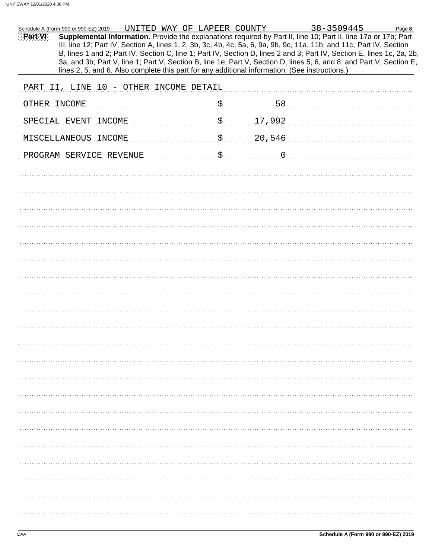|         | Schedule A (Form 990 or 990-EZ) 2019                                                                                                                                                                                                                                                                                                                                                                                                                                                                                                                                                        | UNITED WAY OF LAPEER COUNTY |                      | 38-3509445 | Page 8 |
|---------|---------------------------------------------------------------------------------------------------------------------------------------------------------------------------------------------------------------------------------------------------------------------------------------------------------------------------------------------------------------------------------------------------------------------------------------------------------------------------------------------------------------------------------------------------------------------------------------------|-----------------------------|----------------------|------------|--------|
| Part VI | Supplemental Information. Provide the explanations required by Part II, line 10; Part II, line 17a or 17b; Part<br>III, line 12; Part IV, Section A, lines 1, 2, 3b, 3c, 4b, 4c, 5a, 6, 9a, 9b, 9c, 11a, 11b, and 11c; Part IV, Section<br>B, lines 1 and 2; Part IV, Section C, line 1; Part IV, Section D, lines 2 and 3; Part IV, Section E, lines 1c, 2a, 2b,<br>3a, and 3b; Part V, line 1; Part V, Section B, line 1e; Part V, Section D, lines 5, 6, and 8; and Part V, Section E,<br>lines 2, 5, and 6. Also complete this part for any additional information. (See instructions.) |                             |                      |            |        |
|         |                                                                                                                                                                                                                                                                                                                                                                                                                                                                                                                                                                                             |                             |                      |            |        |
|         | PART II, LINE 10 - OTHER INCOME DETAIL                                                                                                                                                                                                                                                                                                                                                                                                                                                                                                                                                      |                             |                      |            |        |
|         | OTHER INCOME                                                                                                                                                                                                                                                                                                                                                                                                                                                                                                                                                                                | \$                          | 58                   |            |        |
|         | SPECIAL EVENT INCOME                                                                                                                                                                                                                                                                                                                                                                                                                                                                                                                                                                        | . \$.                       | 17,992               |            |        |
|         | MISCELLANEOUS INCOME                                                                                                                                                                                                                                                                                                                                                                                                                                                                                                                                                                        |                             | $\frac{1}{5}$ 20,546 |            |        |
|         | PROGRAM SERVICE REVENUE                                                                                                                                                                                                                                                                                                                                                                                                                                                                                                                                                                     | \$                          | $\mathsf{O}$         |            |        |
|         |                                                                                                                                                                                                                                                                                                                                                                                                                                                                                                                                                                                             |                             |                      |            |        |
|         |                                                                                                                                                                                                                                                                                                                                                                                                                                                                                                                                                                                             |                             |                      |            |        |
|         |                                                                                                                                                                                                                                                                                                                                                                                                                                                                                                                                                                                             |                             |                      |            |        |
|         |                                                                                                                                                                                                                                                                                                                                                                                                                                                                                                                                                                                             |                             |                      |            |        |
|         |                                                                                                                                                                                                                                                                                                                                                                                                                                                                                                                                                                                             |                             |                      |            |        |
|         |                                                                                                                                                                                                                                                                                                                                                                                                                                                                                                                                                                                             |                             |                      |            |        |
|         |                                                                                                                                                                                                                                                                                                                                                                                                                                                                                                                                                                                             |                             |                      |            |        |
|         |                                                                                                                                                                                                                                                                                                                                                                                                                                                                                                                                                                                             |                             |                      |            |        |
|         |                                                                                                                                                                                                                                                                                                                                                                                                                                                                                                                                                                                             |                             |                      |            |        |
|         |                                                                                                                                                                                                                                                                                                                                                                                                                                                                                                                                                                                             |                             |                      |            |        |
|         |                                                                                                                                                                                                                                                                                                                                                                                                                                                                                                                                                                                             |                             |                      |            |        |
|         |                                                                                                                                                                                                                                                                                                                                                                                                                                                                                                                                                                                             |                             |                      |            |        |
|         |                                                                                                                                                                                                                                                                                                                                                                                                                                                                                                                                                                                             |                             |                      |            |        |
|         |                                                                                                                                                                                                                                                                                                                                                                                                                                                                                                                                                                                             |                             |                      |            |        |
|         |                                                                                                                                                                                                                                                                                                                                                                                                                                                                                                                                                                                             |                             |                      |            |        |
|         |                                                                                                                                                                                                                                                                                                                                                                                                                                                                                                                                                                                             |                             |                      |            |        |
|         |                                                                                                                                                                                                                                                                                                                                                                                                                                                                                                                                                                                             |                             |                      |            |        |
|         |                                                                                                                                                                                                                                                                                                                                                                                                                                                                                                                                                                                             |                             |                      |            |        |
|         |                                                                                                                                                                                                                                                                                                                                                                                                                                                                                                                                                                                             |                             |                      |            |        |
|         |                                                                                                                                                                                                                                                                                                                                                                                                                                                                                                                                                                                             |                             |                      |            |        |
|         |                                                                                                                                                                                                                                                                                                                                                                                                                                                                                                                                                                                             |                             |                      |            |        |
|         |                                                                                                                                                                                                                                                                                                                                                                                                                                                                                                                                                                                             |                             |                      |            |        |
|         |                                                                                                                                                                                                                                                                                                                                                                                                                                                                                                                                                                                             |                             |                      |            |        |
|         |                                                                                                                                                                                                                                                                                                                                                                                                                                                                                                                                                                                             |                             |                      |            |        |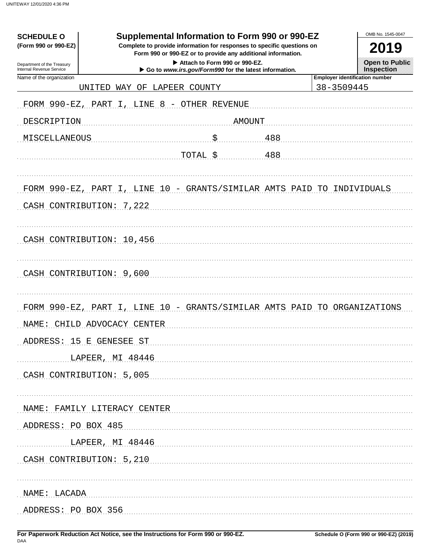| <b>SCHEDULE O</b>                                      |                                                                          | Supplemental Information to Form 990 or 990-EZ                                                                                         |                                     | OMB No. 1545-0047                                   |
|--------------------------------------------------------|--------------------------------------------------------------------------|----------------------------------------------------------------------------------------------------------------------------------------|-------------------------------------|-----------------------------------------------------|
| (Form 990 or 990-EZ)                                   |                                                                          | Complete to provide information for responses to specific questions on<br>Form 990 or 990-EZ or to provide any additional information. |                                     | 2019                                                |
| Department of the Treasury<br>Internal Revenue Service |                                                                          | Attach to Form 990 or 990-EZ.<br>Go to www.irs.gov/Form990 for the latest information.                                                 | <b>Open to Public</b><br>Inspection |                                                     |
| Name of the organization                               | UNITED<br>WAY<br>ΟF                                                      | LAPEER COUNTY                                                                                                                          |                                     | <b>Employer identification number</b><br>38-3509445 |
|                                                        |                                                                          |                                                                                                                                        |                                     |                                                     |
|                                                        | FORM 990-EZ, PART I, LINE 8 - OTHER REVENUE                              |                                                                                                                                        |                                     |                                                     |
| DESCRIPTION                                            |                                                                          |                                                                                                                                        | <b>AMOUNT</b>                       |                                                     |
| MISCELLANEOUS                                          |                                                                          | \$.                                                                                                                                    | 488                                 |                                                     |
|                                                        |                                                                          | TOTAL \$                                                                                                                               | 488                                 |                                                     |
|                                                        | FORM 990-EZ, PART I, LINE 10 - GRANTS/SIMILAR AMTS PAID TO INDIVIDUALS   |                                                                                                                                        |                                     |                                                     |
| CASH CONTRIBUTION: 7,222                               |                                                                          |                                                                                                                                        |                                     |                                                     |
|                                                        | CASH CONTRIBUTION: 10,456                                                |                                                                                                                                        |                                     |                                                     |
| CASH CONTRIBUTION: 9,600                               |                                                                          |                                                                                                                                        |                                     |                                                     |
|                                                        | FORM 990-EZ, PART I, LINE 10 - GRANTS/SIMILAR AMTS PAID TO ORGANIZATIONS |                                                                                                                                        |                                     |                                                     |
|                                                        | NAME: CHILD ADVOCACY CENTER                                              |                                                                                                                                        |                                     |                                                     |
| ADDRESS: 15 E GENESEE ST                               |                                                                          |                                                                                                                                        |                                     |                                                     |
|                                                        | LAPEER, MI 48446                                                         |                                                                                                                                        |                                     |                                                     |
| CASH CONTRIBUTION: 5,005                               |                                                                          |                                                                                                                                        |                                     |                                                     |
|                                                        |                                                                          |                                                                                                                                        |                                     |                                                     |
|                                                        | NAME: FAMILY LITERACY CENTER                                             |                                                                                                                                        |                                     |                                                     |
| ADDRESS: PO BOX 485                                    |                                                                          |                                                                                                                                        |                                     |                                                     |
|                                                        | LAPEER, MI 48446                                                         |                                                                                                                                        |                                     |                                                     |
| CASH CONTRIBUTION: 5,210                               |                                                                          |                                                                                                                                        |                                     |                                                     |
|                                                        |                                                                          |                                                                                                                                        |                                     |                                                     |
|                                                        |                                                                          |                                                                                                                                        |                                     |                                                     |
| NAME: LACADA                                           |                                                                          |                                                                                                                                        |                                     |                                                     |
| ADDRESS: PO BOX 356                                    |                                                                          |                                                                                                                                        |                                     |                                                     |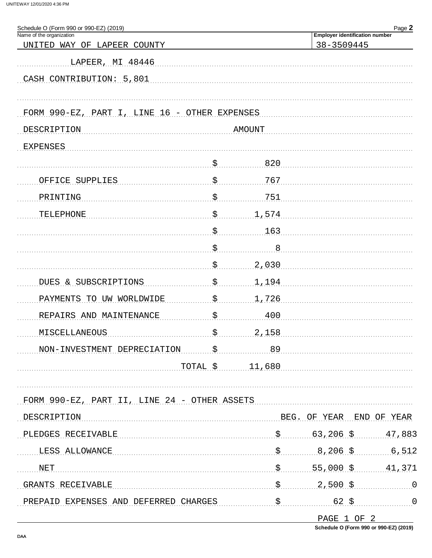Schedule O (Form 990 or 990-EZ) (2019)<br>Name of the organization

| UNITED<br>WAY OF LAPEER COUNTY                |                 | 38-3509445                           |                |
|-----------------------------------------------|-----------------|--------------------------------------|----------------|
| LAPEER, MI 48446                              |                 |                                      |                |
| CASH CONTRIBUTION: 5,801                      |                 |                                      |                |
| FORM 990-EZ, PART I, LINE 16 - OTHER EXPENSES |                 |                                      |                |
| DESCRIPTION                                   | <b>AMOUNT</b>   |                                      |                |
| EXPENSES                                      |                 |                                      |                |
|                                               | \$<br>820       |                                      |                |
| OFFICE SUPPLIES                               | \$<br>767       |                                      |                |
| PRINTING                                      | \$<br>751       |                                      |                |
| TELEPHONE                                     | \$<br>1,574     |                                      |                |
|                                               | \$<br>163       |                                      |                |
|                                               | \$<br>8         |                                      |                |
|                                               | \$<br>2,030     |                                      |                |
| DUES & SUBSCRIPTIONS                          | \$<br>1,194     |                                      |                |
| PAYMENTS TO UW WORLDWIDE                      | \$<br>1,726     |                                      |                |
| REPAIRS AND MAINTENANCE                       | \$<br>400       |                                      |                |
| MISCELLANEOUS                                 | \$<br>2,158     |                                      |                |
| NON-INVESTMENT DEPRECIATION                   | \$<br>89        |                                      |                |
|                                               | TOTAL \$ 11,680 |                                      |                |
| FORM 990-EZ, PART II, LINE 24 - OTHER ASSETS  |                 |                                      |                |
| DESCRIPTION                                   |                 | BEG. OF YEAR END OF YEAR END OF YEAR |                |
| PLEDGES RECEIVABLE                            |                 | 63,206 \$ 47,883                     |                |
| LESS ALLOWANCE                                |                 | $\frac{1}{5}$ 8,206 \$ 6,512         |                |
| $\ddot{s}$<br>NET                             |                 | $55,000$ \$ 41,371                   |                |
| GRANTS RECEIVABLE                             |                 | $\mathbf{s}$ 2,500 \$                | $\overline{0}$ |
| PREPAID EXPENSES AND DEFERRED CHARGES         | \$              | $62 \quad$ \$                        |                |
|                                               |                 | PAGE 1 OF 2                          |                |

Schedule O (Form 990 or 990-EZ) (2019)

**Employer identification number** 

Page 2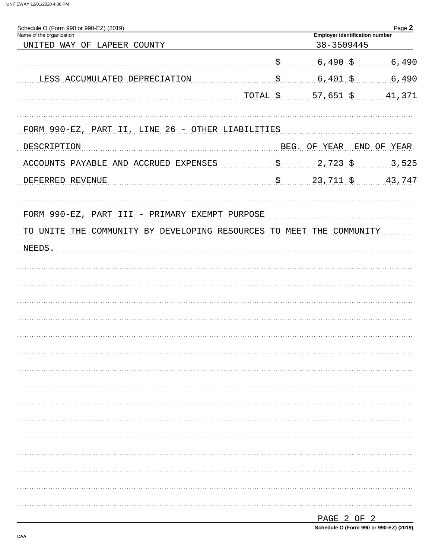UNITEWAY 12/01/2020 4:36 PM

| Schedule O (Form 990 or 990-EZ) (2019)<br>Name of the organization |         | <b>Employer identification number</b> | Page 2      |
|--------------------------------------------------------------------|---------|---------------------------------------|-------------|
| UNITED WAY OF LAPEER COUNTY                                        |         | 38-3509445                            |             |
|                                                                    | \$      | $6,490$ \$                            | 6,490       |
| LESS ACCUMULATED DEPRECIATION                                      | \$      | $6,401$ \$                            | 6,490       |
|                                                                    | TOTAL S | $57,651$ \$                           | 41,371      |
| FORM 990-EZ, PART II, LINE 26 - OTHER LIABILITIES                  |         |                                       |             |
| DESCRIPTION                                                        |         | BEG. OF YEAR                          | END OF YEAR |
| ACCOUNTS PAYABLE AND ACCRUED EXPENSES                              | $S$     | $2,723$ \$                            | 3,525       |
| DEFERRED REVENUE                                                   | \$      | $23,711$ \$                           | 43,747      |
| FORM 990-EZ, PART III - PRIMARY EXEMPT PURPOSE                     |         |                                       |             |
| TO UNITE THE<br>COMMUNITY BY DEVELOPING RESOURCES TO MEET          |         | THE<br>COMMUNITY                      |             |
| NEEDS.                                                             |         |                                       |             |
|                                                                    |         |                                       |             |
|                                                                    |         |                                       |             |
|                                                                    |         |                                       |             |
|                                                                    |         |                                       |             |
|                                                                    |         |                                       |             |
|                                                                    |         |                                       |             |
|                                                                    |         |                                       |             |
|                                                                    |         |                                       |             |
|                                                                    |         |                                       |             |
|                                                                    |         |                                       |             |
|                                                                    |         |                                       |             |
|                                                                    |         |                                       |             |
|                                                                    |         |                                       |             |
|                                                                    |         |                                       |             |
|                                                                    |         |                                       |             |
|                                                                    |         |                                       |             |

| PAGE 2 OF 2 |  |                                        |
|-------------|--|----------------------------------------|
|             |  | Schedule O (Form 990 or 990-EZ) (2019) |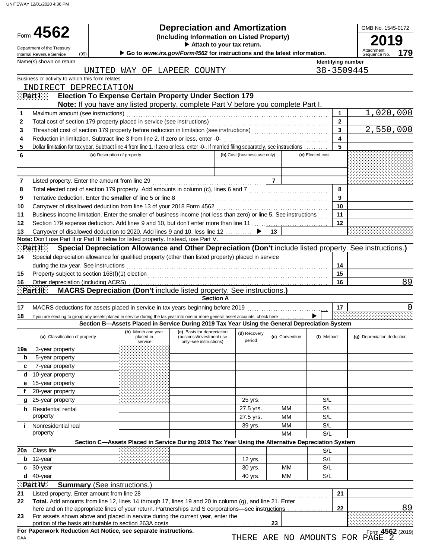UNITEWAY 12/01/2020 4:36 PM

Form 4562

| 4562                | <b>Depreciation and Amortization</b>       | OMB No. 1545-01 |
|---------------------|--------------------------------------------|-----------------|
|                     | (Including Information on Listed Property) | 2019            |
| ant of the Tressury | Attach to your tax return.                 |                 |

OMB No. 1545-0172

|          | Department of the Treasury<br>(99)<br>Internal Revenue Service                                                                                                                                                |                                 | Go to www.irs.gov/Form4562 for instructions and the latest information.                                  |                              |                |                |                  |                   | Attachment<br>Sequence No. | 179 |
|----------|---------------------------------------------------------------------------------------------------------------------------------------------------------------------------------------------------------------|---------------------------------|----------------------------------------------------------------------------------------------------------|------------------------------|----------------|----------------|------------------|-------------------|----------------------------|-----|
|          | Name(s) shown on return                                                                                                                                                                                       |                                 |                                                                                                          |                              |                |                |                  |                   | <b>Identifying number</b>  |     |
|          |                                                                                                                                                                                                               | UNITED WAY OF LAPEER COUNTY     |                                                                                                          |                              |                |                |                  |                   | 38-3509445                 |     |
|          | Business or activity to which this form relates                                                                                                                                                               |                                 |                                                                                                          |                              |                |                |                  |                   |                            |     |
|          | INDIRECT DEPRECIATION                                                                                                                                                                                         |                                 |                                                                                                          |                              |                |                |                  |                   |                            |     |
|          | Part I                                                                                                                                                                                                        |                                 | <b>Election To Expense Certain Property Under Section 179</b>                                            |                              |                |                |                  |                   |                            |     |
|          |                                                                                                                                                                                                               |                                 | Note: If you have any listed property, complete Part V before you complete Part I.                       |                              |                |                |                  |                   |                            |     |
| 1        | Maximum amount (see instructions)                                                                                                                                                                             |                                 |                                                                                                          |                              |                |                |                  | 1                 | 1,020,000                  |     |
| 2        |                                                                                                                                                                                                               |                                 |                                                                                                          |                              |                |                |                  | $\mathbf{2}$<br>3 |                            |     |
| 3<br>4   | Reduction in limitation. Subtract line 3 from line 2. If zero or less, enter -0-                                                                                                                              |                                 |                                                                                                          |                              |                |                |                  | 4                 | 2,550,000                  |     |
| 5        | Dollar limitation for tax year. Subtract line 4 from line 1. If zero or less, enter -0-. If married filing separately, see instructions                                                                       |                                 |                                                                                                          |                              |                |                |                  | 5                 |                            |     |
| 6        |                                                                                                                                                                                                               | (a) Description of property     |                                                                                                          | (b) Cost (business use only) |                |                | (c) Elected cost |                   |                            |     |
|          |                                                                                                                                                                                                               |                                 |                                                                                                          |                              |                |                |                  |                   |                            |     |
|          |                                                                                                                                                                                                               |                                 |                                                                                                          |                              |                |                |                  |                   |                            |     |
| 7        | Listed property. Enter the amount from line 29                                                                                                                                                                |                                 |                                                                                                          |                              | $\overline{7}$ |                |                  |                   |                            |     |
| 8        | Total elected cost of section 179 property. Add amounts in column (c), lines 6 and 7 [[[[[[[[[[[[[[[[[[[[[[[[[                                                                                                |                                 |                                                                                                          |                              |                |                |                  | 8                 |                            |     |
| 9        | Tentative deduction. Enter the smaller of line 5 or line 8                                                                                                                                                    |                                 |                                                                                                          |                              |                |                |                  | 9                 |                            |     |
| 10       | Carryover of disallowed deduction from line 13 of your 2018 Form 4562                                                                                                                                         |                                 |                                                                                                          |                              |                |                |                  | 10                |                            |     |
| 11       | Business income limitation. Enter the smaller of business income (not less than zero) or line 5. See instructions                                                                                             |                                 |                                                                                                          |                              |                |                |                  | 11                |                            |     |
| 12       | Section 179 expense deduction. Add lines 9 and 10, but don't enter more than line 11                                                                                                                          |                                 |                                                                                                          |                              |                |                |                  | 12                |                            |     |
| 13       | Carryover of disallowed deduction to 2020. Add lines 9 and 10, less line 12                                                                                                                                   |                                 |                                                                                                          |                              | 13             |                |                  |                   |                            |     |
|          | Note: Don't use Part II or Part III below for listed property. Instead, use Part V.                                                                                                                           |                                 |                                                                                                          |                              |                |                |                  |                   |                            |     |
|          | Part II                                                                                                                                                                                                       |                                 | Special Depreciation Allowance and Other Depreciation (Don't include listed property. See instructions.) |                              |                |                |                  |                   |                            |     |
| 14       | Special depreciation allowance for qualified property (other than listed property) placed in service                                                                                                          |                                 |                                                                                                          |                              |                |                |                  |                   |                            |     |
|          | during the tax year. See instructions<br>Property subject to section 168(f)(1) election                                                                                                                       |                                 |                                                                                                          |                              |                |                |                  | 14<br>15          |                            |     |
| 15<br>16 |                                                                                                                                                                                                               |                                 |                                                                                                          |                              |                |                |                  | 16                |                            | 89  |
|          | Part III                                                                                                                                                                                                      |                                 | MACRS Depreciation (Don't include listed property. See instructions.)                                    |                              |                |                |                  |                   |                            |     |
|          |                                                                                                                                                                                                               |                                 | <b>Section A</b>                                                                                         |                              |                |                |                  |                   |                            |     |
| 17       |                                                                                                                                                                                                               |                                 |                                                                                                          |                              |                |                |                  | 17                |                            | 0   |
| 18       | If you are electing to group any assets placed in service during the tax year into one or more general asset accounts, check here                                                                             |                                 |                                                                                                          |                              |                |                |                  |                   |                            |     |
|          |                                                                                                                                                                                                               |                                 | Section B-Assets Placed in Service During 2019 Tax Year Using the General Depreciation System            |                              |                |                |                  |                   |                            |     |
|          | (a) Classification of property                                                                                                                                                                                | (b) Month and year<br>placed in | (c) Basis for depreciation<br>(business/investment use                                                   | (d) Recovery                 |                | (e) Convention | (f) Method       |                   | (g) Depreciation deduction |     |
|          |                                                                                                                                                                                                               | service                         | only-see instructions)                                                                                   | period                       |                |                |                  |                   |                            |     |
| 19a      | 3-year property                                                                                                                                                                                               |                                 |                                                                                                          |                              |                |                |                  |                   |                            |     |
| b        | 5-year property                                                                                                                                                                                               |                                 |                                                                                                          |                              |                |                |                  |                   |                            |     |
| c        | 7-year property<br>$\overline{d}$ 10-year property                                                                                                                                                            |                                 |                                                                                                          |                              |                |                |                  |                   |                            |     |
| е        | 15-year property                                                                                                                                                                                              |                                 |                                                                                                          |                              |                |                |                  |                   |                            |     |
| f        | 20-year property                                                                                                                                                                                              |                                 |                                                                                                          |                              |                |                |                  |                   |                            |     |
| g        | 25-year property                                                                                                                                                                                              |                                 |                                                                                                          | 25 yrs.                      |                |                | S/L              |                   |                            |     |
|          | h Residential rental                                                                                                                                                                                          |                                 |                                                                                                          | 27.5 yrs.                    |                | <b>MM</b>      | S/L              |                   |                            |     |
|          | property                                                                                                                                                                                                      |                                 |                                                                                                          | 27.5 yrs.                    |                | <b>MM</b>      | S/L              |                   |                            |     |
| j.       | Nonresidential real                                                                                                                                                                                           |                                 |                                                                                                          | 39 yrs.                      |                | <b>MM</b>      | S/L              |                   |                            |     |
|          | property                                                                                                                                                                                                      |                                 |                                                                                                          |                              |                | <b>MM</b>      | S/L              |                   |                            |     |
|          |                                                                                                                                                                                                               |                                 | Section C-Assets Placed in Service During 2019 Tax Year Using the Alternative Depreciation System        |                              |                |                |                  |                   |                            |     |
| 20a      | Class life                                                                                                                                                                                                    |                                 |                                                                                                          |                              |                |                | S/L              |                   |                            |     |
| b        | 12-year                                                                                                                                                                                                       |                                 |                                                                                                          | 12 yrs.                      |                |                | S/L              |                   |                            |     |
| C        | 30-year                                                                                                                                                                                                       |                                 |                                                                                                          | 30 yrs.                      |                | <b>MM</b>      | S/L              |                   |                            |     |
| d        | 40-year                                                                                                                                                                                                       |                                 |                                                                                                          | 40 yrs.                      |                | <b>MM</b>      | S/L              |                   |                            |     |
|          | Partiv<br><b>Summary</b> (See instructions.)                                                                                                                                                                  |                                 |                                                                                                          |                              |                |                |                  |                   |                            |     |
| 21       | Listed property. Enter amount from line 28                                                                                                                                                                    |                                 |                                                                                                          |                              |                |                |                  | 21                |                            |     |
| 22       | Total. Add amounts from line 12, lines 14 through 17, lines 19 and 20 in column (g), and line 21. Enter<br>here and on the appropriate lines of your return. Partnerships and S corporations—see instructions |                                 |                                                                                                          |                              |                |                |                  | 22                |                            | 89  |
| 23       | For assets shown above and placed in service during the current year, enter the                                                                                                                               |                                 |                                                                                                          |                              |                |                |                  |                   |                            |     |
|          |                                                                                                                                                                                                               |                                 |                                                                                                          |                              | 23             |                |                  |                   |                            |     |

**For Paperwork Reduction Act Notice, see separate instructions.**

Form **4562** (2019)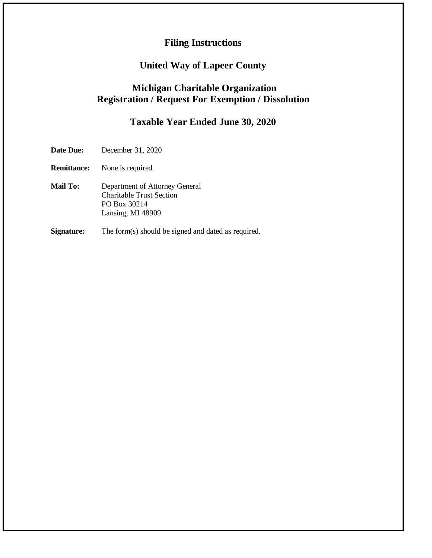### **Filing Instructions**

## **United Way of Lapeer County**

# **Michigan Charitable Organization Registration / Request For Exemption / Dissolution**

# **Taxable Year Ended June 30, 2020**

- **Date Due:** December 31, 2020
- **Remittance:** None is required.
- **Mail To:** Department of Attorney General Charitable Trust Section PO Box 30214 Lansing, MI 48909
- **Signature:** The form(s) should be signed and dated as required.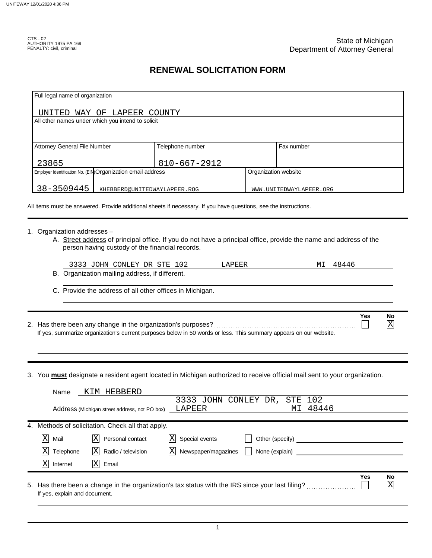CTS - 02<br>AUTHORITY 1975 PA 169<br>PENALTY: civil, criminal

### **RENEWAL SOLICITATION FORM**

| Full legal name of organization                                                                                                                                                   |                                        |                      |                         |                   |
|-----------------------------------------------------------------------------------------------------------------------------------------------------------------------------------|----------------------------------------|----------------------|-------------------------|-------------------|
| UNITED WAY OF LAPEER COUNTY                                                                                                                                                       |                                        |                      |                         |                   |
| All other names under which you intend to solicit                                                                                                                                 |                                        |                      |                         |                   |
|                                                                                                                                                                                   |                                        |                      |                         |                   |
| <b>Attorney General File Number</b>                                                                                                                                               | Telephone number                       |                      | Fax number              |                   |
| 23865                                                                                                                                                                             | 810-667-2912                           |                      |                         |                   |
| Employer Identification No. (EIN Organization email address                                                                                                                       |                                        | Organization website |                         |                   |
| 38-3509445<br>KHEBBERD@UNITEDWAYLAPEER.ROG                                                                                                                                        |                                        |                      | WWW.UNITEDWAYLAPEER.ORG |                   |
|                                                                                                                                                                                   |                                        |                      |                         |                   |
| All items must be answered. Provide additional sheets if necessary. If you have questions, see the instructions.                                                                  |                                        |                      |                         |                   |
|                                                                                                                                                                                   |                                        |                      |                         |                   |
| 1. Organization addresses -                                                                                                                                                       |                                        |                      |                         |                   |
| A. Street address of principal office. If you do not have a principal office, provide the name and address of the<br>person having custody of the financial records.              |                                        |                      |                         |                   |
|                                                                                                                                                                                   |                                        |                      |                         |                   |
| 3333 JOHN CONLEY DR STE 102<br>B. Organization mailing address, if different.                                                                                                     | LAPEER                                 |                      | MI 48446                |                   |
|                                                                                                                                                                                   |                                        |                      |                         |                   |
| C. Provide the address of all other offices in Michigan.                                                                                                                          |                                        |                      |                         |                   |
|                                                                                                                                                                                   |                                        |                      |                         |                   |
|                                                                                                                                                                                   |                                        |                      |                         |                   |
|                                                                                                                                                                                   |                                        |                      | Yes                     | No                |
| 2. Has there been any change in the organization's purposes?<br>If yes, summarize organization's current purposes below in 50 words or less. This summary appears on our website. |                                        |                      |                         | X                 |
|                                                                                                                                                                                   |                                        |                      |                         |                   |
|                                                                                                                                                                                   |                                        |                      |                         |                   |
|                                                                                                                                                                                   |                                        |                      |                         |                   |
| 3. You <b>must</b> designate a resident agent located in Michigan authorized to receive official mail sent to your organization.                                                  |                                        |                      |                         |                   |
| KIM HEBBERD<br>Name                                                                                                                                                               |                                        |                      |                         |                   |
| Address (Michigan street address, not PO box)                                                                                                                                     | 3333 JOHN CONLEY DR, STE 102<br>LAPEER |                      | MΙ<br>48446             |                   |
|                                                                                                                                                                                   |                                        |                      |                         |                   |
| 4. Methods of solicitation. Check all that apply.                                                                                                                                 |                                        |                      |                         |                   |
| $ {\rm X} $<br>Mail<br>Personal contact<br>ΙX                                                                                                                                     | Special events<br>ΙX                   |                      |                         |                   |
| ΙX<br>ΙX<br>Telephone<br>Radio / television                                                                                                                                       | ΙX<br>Newspaper/magazines              | None (explain)       |                         |                   |
| Internet<br>Email                                                                                                                                                                 |                                        |                      |                         |                   |
| 5. Has there been a change in the organization's tax status with the IRS since your last filing?                                                                                  |                                        |                      | Yes                     | No<br>$\mathbf X$ |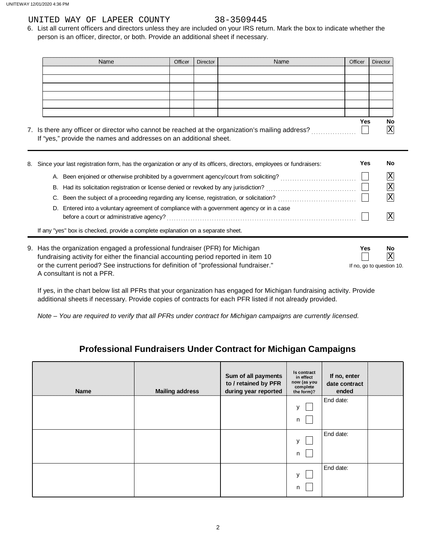#### UNITED WAY OF LAPEER COUNTY 38-3509445

person is an officer, director, or both. Provide an additional sheet if necessary. 6. List all current officers and directors unless they are included on your IRS return. Mark the box to indicate whether the

|    | Name:                                                                                                                | <b>Officer</b> | <b>Director</b> | Name | Officer | Director                  |
|----|----------------------------------------------------------------------------------------------------------------------|----------------|-----------------|------|---------|---------------------------|
|    |                                                                                                                      |                |                 |      |         |                           |
|    |                                                                                                                      |                |                 |      |         |                           |
|    |                                                                                                                      |                |                 |      |         |                           |
|    |                                                                                                                      |                |                 |      |         |                           |
|    |                                                                                                                      |                |                 |      |         |                           |
|    |                                                                                                                      |                |                 |      | Yes     | No                        |
|    | 7. Is there any officer or director who cannot be reached at the organization's mailing address?                     |                |                 |      |         | $\overline{\text{x}}$     |
|    | If "yes," provide the names and addresses on an additional sheet.                                                    |                |                 |      |         |                           |
|    |                                                                                                                      |                |                 |      |         |                           |
| 8. | Since your last registration form, has the organization or any of its officers, directors, employees or fundraisers: |                |                 |      | Yes     | No                        |
|    |                                                                                                                      |                |                 |      |         |                           |
|    |                                                                                                                      |                |                 |      |         | $\overline{\text{X}}$     |
|    |                                                                                                                      |                |                 |      |         | $\overline{\text{X}}$     |
|    |                                                                                                                      |                |                 |      |         | $\overline{\text{X}}$     |
|    | D. Entered into a voluntary agreement of compliance with a government agency or in a case                            |                |                 |      |         |                           |
|    |                                                                                                                      |                |                 |      |         | $\overline{\text{X}}$     |
|    |                                                                                                                      |                |                 |      |         |                           |
|    | If any "yes" box is checked, provide a complete explanation on a separate sheet.                                     |                |                 |      |         |                           |
|    | 9. Has the organization engaged a professional fundraiser (PFR) for Michigan                                         |                |                 |      | Yes     | No                        |
|    | fundraising activity for either the financial accounting period reported in item 10                                  |                |                 |      |         | X                         |
|    | or the current period? See instructions for definition of "professional fundraiser."                                 |                |                 |      |         | If no, go to question 10. |
|    | A consultant is not a PFR.                                                                                           |                |                 |      |         |                           |

If yes, in the chart below list all PFRs that your organization has engaged for Michigan fundraising activity. Provide additional sheets if necessary. Provide copies of contracts for each PFR listed if not already provided.

*Note – You are required to verify that all PFRs under contract for Michigan campaigns are currently licensed.*

### **Professional Fundraisers Under Contract for Michigan Campaigns**

| Name | <b>Mailing address</b> | Sum of all payments<br>to / retained by PFR<br>during year reported | Is contract<br>in effect.<br>now (as you<br>complete<br>the form)? | If no, enter<br>date contract<br>ended |  |
|------|------------------------|---------------------------------------------------------------------|--------------------------------------------------------------------|----------------------------------------|--|
|      |                        |                                                                     | v<br>n                                                             | End date:                              |  |
|      |                        |                                                                     | V<br>n                                                             | End date:                              |  |
|      |                        |                                                                     | v<br>n                                                             | End date:                              |  |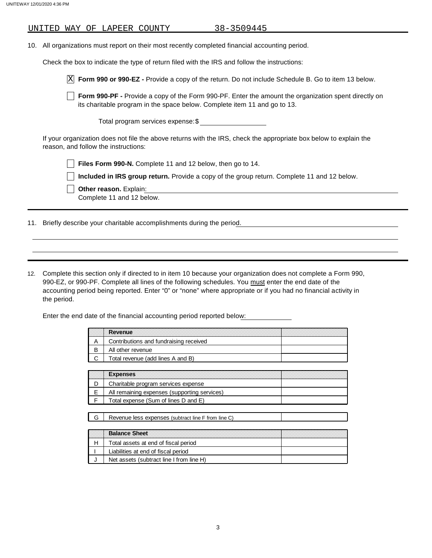| 38-3509445<br>OF LAPEER COUNTY<br>ח:ד"<br>WAY                                                                                                                                            |
|------------------------------------------------------------------------------------------------------------------------------------------------------------------------------------------|
| 10. All organizations must report on their most recently completed financial accounting period.                                                                                          |
| Check the box to indicate the type of return filed with the IRS and follow the instructions:                                                                                             |
| Form 990 or 990-EZ - Provide a copy of the return. Do not include Schedule B. Go to item 13 below.<br>ΙXΙ                                                                                |
| <b>Form 990-PF -</b> Provide a copy of the Form 990-PF. Enter the amount the organization spent directly on<br>its charitable program in the space below. Complete item 11 and go to 13. |
| Total program services expense: \$                                                                                                                                                       |
| If your organization does not file the above returns with the IRS, check the appropriate box below to explain the<br>reason, and follow the instructions:                                |
| Files Form 990-N. Complete 11 and 12 below, then go to 14.                                                                                                                               |
| Included in IRS group return. Provide a copy of the group return. Complete 11 and 12 below.                                                                                              |
| Other reason. Explain:<br>Complete 11 and 12 below.                                                                                                                                      |

11. Briefly describe your charitable accomplishments during the period.

12. Complete this section only if directed to in item 10 because your organization does not complete a Form 990, 990-EZ, or 990-PF. Complete all lines of the following schedules. You must enter the end date of the the period. accounting period being reported. Enter "0" or "none" where appropriate or if you had no financial activity in

Enter the end date of the financial accounting period reported below:

|   | Contributions and fundraising received |  |
|---|----------------------------------------|--|
|   | All other revenue                      |  |
| ⌒ | Total revenue (add lines A and B)      |  |

| Charitable program services expense          |  |
|----------------------------------------------|--|
| All remaining expenses (supporting services) |  |
| Total expense (Sum of lines D and E)         |  |

|  |  | Revenue less expenses (subtract line F<br>from<br>line C) |  |
|--|--|-----------------------------------------------------------|--|
|--|--|-----------------------------------------------------------|--|

| Total assets at end of fiscal period     |  |
|------------------------------------------|--|
| Liabilities at end of fiscal period      |  |
| Net assets (subtract line I from line H) |  |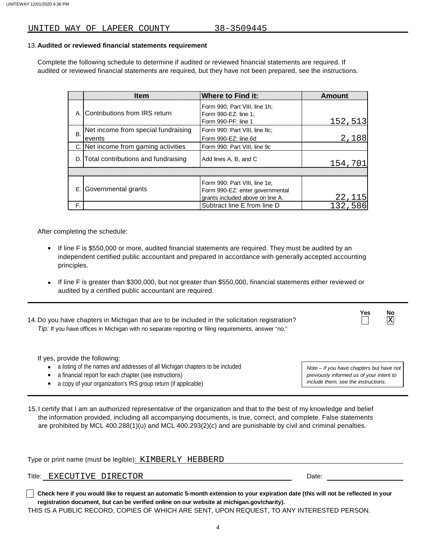#### UNITED WAY OF LAPEER COUNTY 38-3509445

#### **Audited or reviewed financial statements requirement** 13.

Complete the following schedule to determine if audited or reviewed financial statements are required. If audited or reviewed financial statements are required, but they have not been prepared, see the instructions.

|           | <b>Item</b>                            | Where to Find it:                                                                                    | Amount  |
|-----------|----------------------------------------|------------------------------------------------------------------------------------------------------|---------|
|           | A. Contributions from IRS return       | Form 990: Part VIII, line 1h;<br>Form 990-EZ: line 1;<br>Form 990-PF: line 1                         | 152,513 |
| <b>B.</b> | Net income from special fundraising    | Form 990: Part VIII, line 8c;                                                                        |         |
|           | events                                 | Form 990-EZ: line 6d                                                                                 | 2,188   |
|           | C. Net income from gaming activities   | Form 990: Part VIII, line 9c                                                                         |         |
|           | D. Total contributions and fundraising | Add lines A, B, and C                                                                                | 154,701 |
|           |                                        |                                                                                                      |         |
| E. I      | Governmental grants                    | Form 990: Part VIII, line 1e:<br>Form 990-EZ: enter governmental<br>grants included above on line A. | 22,115  |
| F.        |                                        | Subtract line E from line D                                                                          | 132,586 |

After completing the schedule:

- If line F is \$550,000 or more, audited financial statements are required. They must be audited by an independent certified public accountant and prepared in accordance with generally accepted accounting principles.
- If line F is greater than \$300,000, but not greater than \$550,000, financial statements either reviewed or audited by a certified public accountant are required.
- 14.Do you have chapters in Michigan that are to be included in the solicitation registration? *Tip:* If you have offices in Michigan with no separate reporting or filing requirements, answer "no."

If yes, provide the following:

- a listing of the names and addresses of all Michigan chapters to be included
- a financial report for each chapter (see instructions)
- a copy of your organization's IRS group return (if applicable)

*include them, see the instructions. previously informed us of your intent to*

*Note – if you have chapters but have not*

**Yes No** X

15. I certify that I am an authorized representative of the organization and that to the best of my knowledge and belief the information provided, including all accompanying documents, is true, correct, and complete. False statements are prohibited by MCL 400.288(1)(u) and MCL 400.293(2)(c) and are punishable by civil and criminal penalties.

| Type or print name (must be legible): KIMBERLY HEBBERD |       |  |
|--------------------------------------------------------|-------|--|
| Title: EXECUTIVE DIRECTOR                              | Date: |  |
|                                                        |       |  |

**Check here if you would like to request an automatic 5-month extension to your expiration date (this will not be reflected in your registration document, but can be verified online on our website at michigan.gov/charity).**

THIS IS A PUBLIC RECORD, COPIES OF WHICH ARE SENT, UPON REQUEST, TO ANY INTERESTED PERSON.